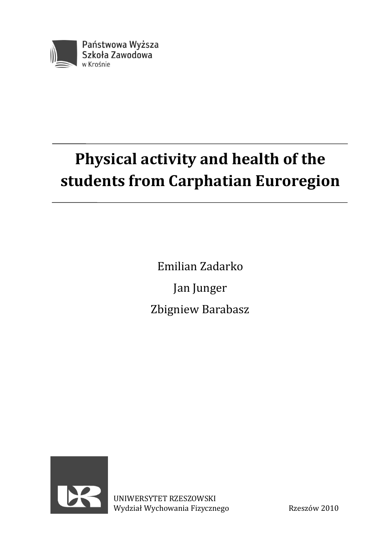

# **Physical activity and health of the students from Carphatian Euroregion**

Emilian Zadarko Jan Junger Zbigniew Barabasz



UNIWERSYTET RZESZOWSKI Wydział Wychowania Fizycznego Rzeszów 2010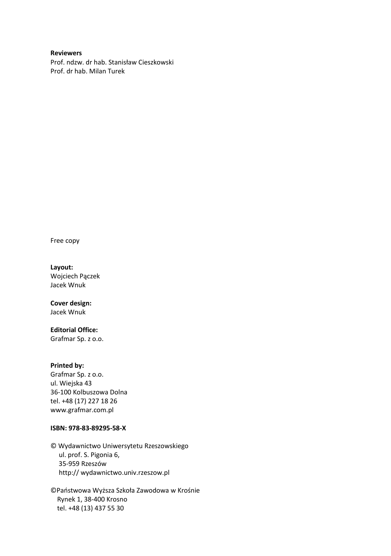### **Reviewers**

Prof. ndzw. dr hab. Stanisław Cieszkowski Prof. dr hab. Milan Turek

Free copy

#### **Layout:**

Wojciech Pączek Jacek Wnuk

### **Cover design:**

Jacek Wnuk

### **Editorial Office:**

Grafmar Sp. z o.o.

#### **Printed by:**

Grafmar Sp. z o.o. ul. Wiejska 43 36-100 Kolbuszowa Dolna tel. +48 (17) 227 18 26 www.grafmar.com.pl

#### **ISBN: 978-83-89295-58-X**

© Wydawnictwo Uniwersytetu Rzeszowskiego ul. prof. S. Pigonia 6, 35-959 Rzeszów http:// wydawnictwo.univ.rzeszow.pl

©Państwowa Wyższa Szkoła Zawodowa w Krośnie Rynek 1, 38-400 Krosno tel. +48 (13) 437 55 30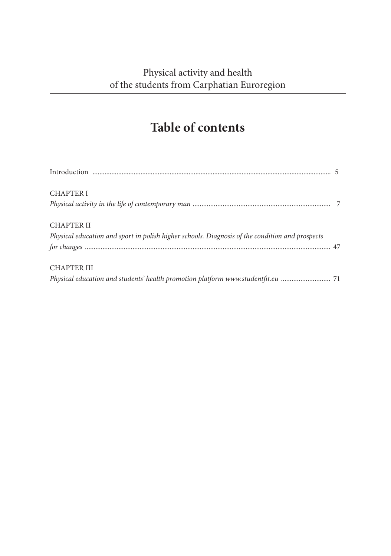# **Table of contents**

| <b>CHAPTER I</b>                                                                                |  |
|-------------------------------------------------------------------------------------------------|--|
|                                                                                                 |  |
| <b>CHAPTER II</b>                                                                               |  |
| Physical education and sport in polish higher schools. Diagnosis of the condition and prospects |  |
|                                                                                                 |  |
| <b>CHAPTER III</b>                                                                              |  |
| Physical education and students' health promotion platform www.studentfit.eu  71                |  |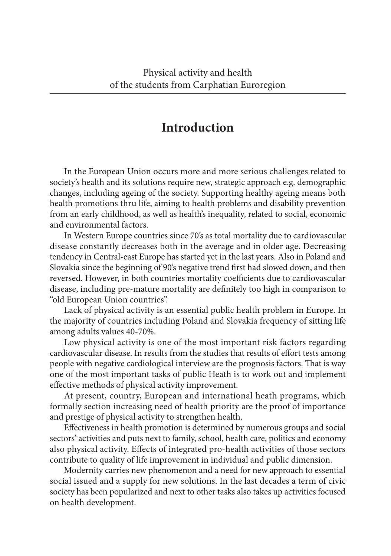### **Introduction**

In the European Union occurs more and more serious challenges related to society's health and its solutions require new, strategic approach e.g. demographic changes, including ageing of the society. Supporting healthy ageing means both health promotions thru life, aiming to health problems and disability prevention from an early childhood, as well as health's inequality, related to social, economic and environmental factors.

In Western Europe countries since 70's as total mortality due to cardiovascular disease constantly decreases both in the average and in older age. Decreasing tendency in Central-east Europe has started yet in the last years. Also in Poland and Slovakia since the beginning of 90's negative trend first had slowed down, and then reversed. However, in both countries mortality coefficients due to cardiovascular disease, including pre-mature mortality are definitely too high in comparison to "old European Union countries".

Lack of physical activity is an essential public health problem in Europe. In the majority of countries including Poland and Slovakia frequency of sitting life among adults values 40-70%.

Low physical activity is one of the most important risk factors regarding cardiovascular disease. In results from the studies that results of effort tests among people with negative cardiological interview are the prognosis factors. That is way one of the most important tasks of public Heath is to work out and implement effective methods of physical activity improvement.

At present, country, European and international heath programs, which formally section increasing need of health priority are the proof of importance and prestige of physical activity to strengthen health.

Effectiveness in health promotion is determined by numerous groups and social sectors' activities and puts next to family, school, health care, politics and economy also physical activity. Effects of integrated pro-health activities of those sectors contribute to quality of life improvement in individual and public dimension.

Modernity carries new phenomenon and a need for new approach to essential social issued and a supply for new solutions. In the last decades a term of civic society has been popularized and next to other tasks also takes up activities focused on health development.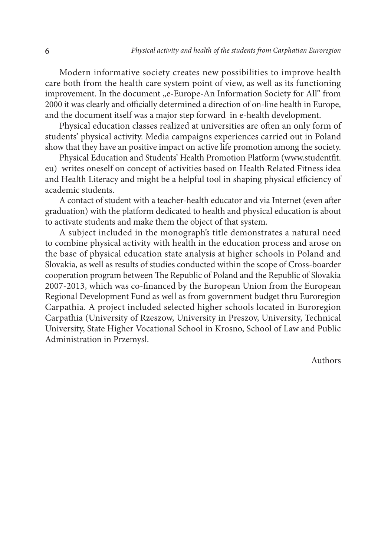Modern informative society creates new possibilities to improve health care both from the health care system point of view, as well as its functioning improvement. In the document "e-Europe-An Information Society for All" from 2000 it was clearly and officially determined a direction of on-line health in Europe, and the document itself was a major step forward in e-health development.

Physical education classes realized at universities are often an only form of students' physical activity. Media campaigns experiences carried out in Poland show that they have an positive impact on active life promotion among the society.

Physical Education and Students' Health Promotion Platform (www.studentfit. eu) writes oneself on concept of activities based on Health Related Fitness idea and Health Literacy and might be a helpful tool in shaping physical efficiency of academic students.

A contact of student with a teacher-health educator and via Internet (even after graduation) with the platform dedicated to health and physical education is about to activate students and make them the object of that system.

A subject included in the monograph's title demonstrates a natural need to combine physical activity with health in the education process and arose on the base of physical education state analysis at higher schools in Poland and Slovakia, as well as results of studies conducted within the scope of Cross-boarder cooperation program between The Republic of Poland and the Republic of Slovakia 2007-2013, which was co-financed by the European Union from the European Regional Development Fund as well as from government budget thru Euroregion Carpathia. A project included selected higher schools located in Euroregion Carpathia (University of Rzeszow, University in Preszov, University, Technical University, State Higher Vocational School in Krosno, School of Law and Public Administration in Przemysl.

Authors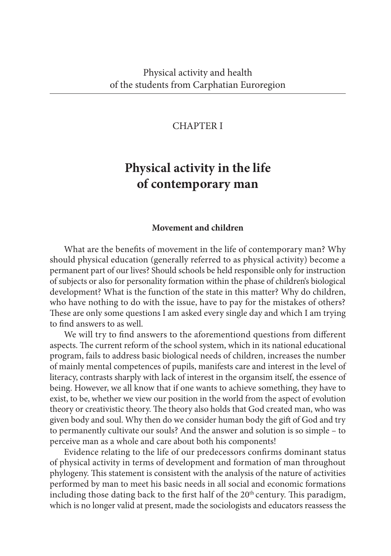### CHAPTER I

## **Physical activity in the life of contemporary man**

### **Movement and children**

What are the benefits of movement in the life of contemporary man? Why should physical education (generally referred to as physical activity) become a permanent part of our lives? Should schools be held responsible only for instruction of subjects or also for personality formation within the phase of children's biological development? What is the function of the state in this matter? Why do children, who have nothing to do with the issue, have to pay for the mistakes of others? These are only some questions I am asked every single day and which I am trying to find answers to as well.

We will try to find answers to the aforementiond questions from different aspects. The current reform of the school system, which in its national educational program, fails to address basic biological needs of children, increases the number of mainly mental competences of pupils, manifests care and interest in the level of literacy, contrasts sharply with lack of interest in the organsim itself, the essence of being. However, we all know that if one wants to achieve something, they have to exist, to be, whether we view our position in the world from the aspect of evolution theory or creativistic theory. The theory also holds that God created man, who was given body and soul. Why then do we consider human body the gift of God and try to permanently cultivate our souls? And the answer and solution is so simple – to perceive man as a whole and care about both his components!

Evidence relating to the life of our predecessors confirms dominant status of physical activity in terms of development and formation of man throughout phylogeny. This statement is consistent with the analysis of the nature of activities performed by man to meet his basic needs in all social and economic formations including those dating back to the first half of the  $20<sup>th</sup>$  century. This paradigm, which is no longer valid at present, made the sociologists and educators reassess the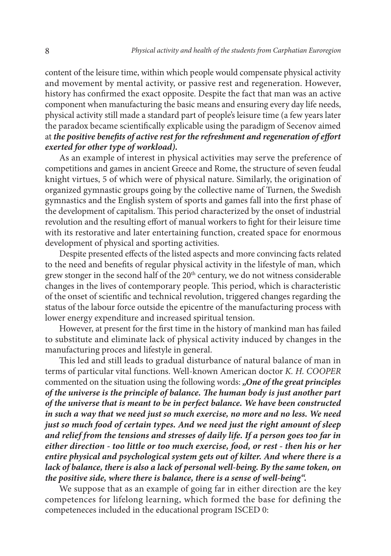content of the leisure time, within which people would compensate physical activity and movement by mental activity, or passive rest and regeneration. However, history has confirmed the exact opposite. Despite the fact that man was an active component when manufacturing the basic means and ensuring every day life needs, physical activity still made a standard part of people's leisure time (a few years later the paradox became scientifically explicable using the paradigm of Secenov aimed at *the positive benefits of active rest for the refreshment and regeneration of effort exerted for other type of workload).* 

As an example of interest in physical activities may serve the preference of competitions and games in ancient Greece and Rome, the structure of seven feudal knight virtues, 5 of which were of physical nature. Similarly, the origination of organized gymnastic groups going by the collective name of Turnen, the Swedish gymnastics and the English system of sports and games fall into the first phase of the development of capitalism. This period characterized by the onset of industrial revolution and the resulting effort of manual workers to fight for their leisure time with its restorative and later entertaining function, created space for enormous development of physical and sporting activities.

Despite presented effects of the listed aspects and more convincing facts related to the need and benefits of regular physical activity in the lifestyle of man, which grew stonger in the second half of the  $20<sup>th</sup>$  century, we do not witness considerable changes in the lives of contemporary people. This period, which is characteristic of the onset of scientific and technical revolution, triggered changes regarding the status of the labour force outside the epicentre of the manufacturing process with lower energy expenditure and increased spiritual tension.

However, at present for the first time in the history of mankind man has failed to substitute and eliminate lack of physical activity induced by changes in the manufacturing proces and lifestyle in general.

This led and still leads to gradual disturbance of natural balance of man in terms of particular vital functions. Well-known American doctor *K. H. COOPER* commented on the situation using the following words: *"One of the great principles of the universe is the principle of balance. The human body is just another part of the universe that is meant to be in perfect balance. We have been constructed in such a way that we need just so much exercise, no more and no less. We need just so much food of certain types. And we need just the right amount of sleep and relief from the tensions and stresses of daily life. If a person goes too far in either direction - too little or too much exercise, food, or rest - then his or her entire physical and psychological system gets out of kilter. And where there is a lack of balance, there is also a lack of personal well-being. By the same token, on the positive side, where there is balance, there is a sense of well-being".* 

We suppose that as an example of going far in either direction are the key competences for lifelong learning, which formed the base for defining the competeneces included in the educational program ISCED 0: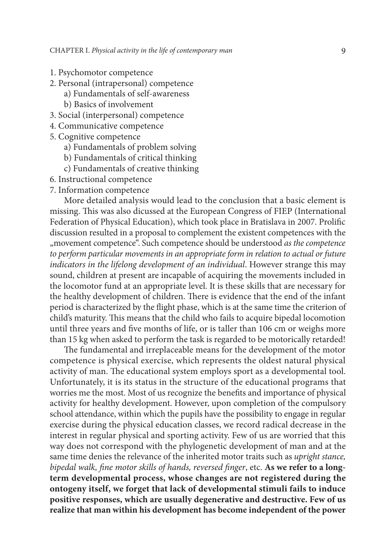- 1. Psychomotor competence
- 2. Personal (intrapersonal) competence
	- a) Fundamentals of self-awareness
	- b) Basics of involvement
- 3. Social (interpersonal) competence
- 4. Communicative competence
- 5. Cognitive competence
	- a) Fundamentals of problem solving
	- b) Fundamentals of critical thinking
	- c) Fundamentals of creative thinking
- 6. Instructional competence
- 7. Information competence

More detailed analysis would lead to the conclusion that a basic element is missing. This was also dicussed at the European Congress of FIEP (International Federation of Physical Education), which took place in Bratislava in 2007. Prolific discussion resulted in a proposal to complement the existent competences with the "movement competence". Such competence should be understood *as the competence to perform particular movements in an appropriate form in relation to actual or future indicators in the lifelong development of an individual*. However strange this may sound, children at present are incapable of acquiring the movements included in the locomotor fund at an appropriate level. It is these skills that are necessary for the healthy development of children. There is evidence that the end of the infant period is characterized by the flight phase, which is at the same time the criterion of child's maturity. This means that the child who fails to acquire bipedal locomotion until three years and five months of life, or is taller than 106 cm or weighs more than 15 kg when asked to perform the task is regarded to be motorically retarded!

The fundamental and irreplaceable means for the development of the motor competence is physical exercise, which represents the oldest natural physical activity of man. The educational system employs sport as a developmental tool. Unfortunately, it is its status in the structure of the educational programs that worries me the most. Most of us recognize the benefits and importance of physical activity for healthy development. However, upon completion of the compulsory school attendance, within which the pupils have the possibility to engage in regular exercise during the physical education classes, we record radical decrease in the interest in regular physical and sporting activity. Few of us are worried that this way does not correspond with the phylogenetic development of man and at the same time denies the relevance of the inherited motor traits such as *upright stance, bipedal walk, fine motor skills of hands, reversed finger*, etc. **As we refer to a longterm developmental process, whose changes are not registered during the ontogeny itself, we forget that lack of developmental stimuli fails to induce positive responses, which are usually degenerative and destructive. Few of us realize that man within his development has become independent of the power**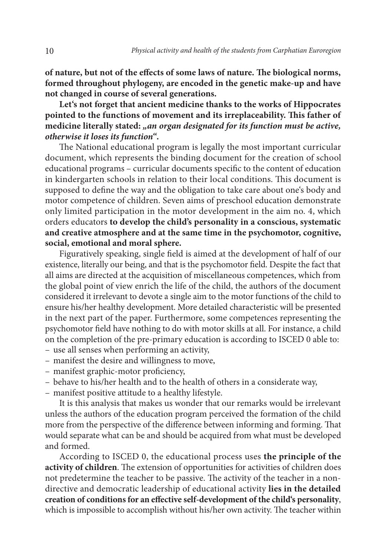**of nature, but not of the effects of some laws of nature. The biological norms, formed throughout phylogeny, are encoded in the genetic make-up and have not changed in course of several generations.** 

**Let's not forget that ancient medicine thanks to the works of Hippocrates pointed to the functions of movement and its irreplaceability. This father of**  medicine literally stated: "an organ designated for its function must be active, *otherwise it loses its function"***.** 

The National educational program is legally the most important curricular document, which represents the binding document for the creation of school educational programs – curricular documents specific to the content of education in kindergarten schools in relation to their local conditions. This document is supposed to define the way and the obligation to take care about one's body and motor competence of children. Seven aims of preschool education demonstrate only limited participation in the motor development in the aim no. 4, which orders educators **to develop the child's personality in a conscious, systematic and creative atmosphere and at the same time in the psychomotor, cognitive, social, emotional and moral sphere.** 

Figuratively speaking, single field is aimed at the development of half of our existence, literally our being, and that is the psychomotor field. Despite the fact that all aims are directed at the acquisition of miscellaneous competences, which from the global point of view enrich the life of the child, the authors of the document considered it irrelevant to devote a single aim to the motor functions of the child to ensure his/her healthy development. More detailed characteristic will be presented in the next part of the paper. Furthermore, some competences representing the psychomotor field have nothing to do with motor skills at all. For instance, a child on the completion of the pre-primary education is according to ISCED 0 able to:

- use all senses when performing an activity,
- manifest the desire and willingness to move,
- manifest graphic-motor proficiency,
- behave to his/her health and to the health of others in a considerate way,
- manifest positive attitude to a healthy lifestyle.

It is this analysis that makes us wonder that our remarks would be irrelevant unless the authors of the education program perceived the formation of the child more from the perspective of the difference between informing and forming. That would separate what can be and should be acquired from what must be developed and formed.

According to ISCED 0, the educational process uses **the principle of the activity of children**. The extension of opportunities for activities of children does not predetermine the teacher to be passive. The activity of the teacher in a nondirective and democratic leadership of educational activity **lies in the detailed creation of conditions for an effective self-development of the child's personality**, which is impossible to accomplish without his/her own activity. The teacher within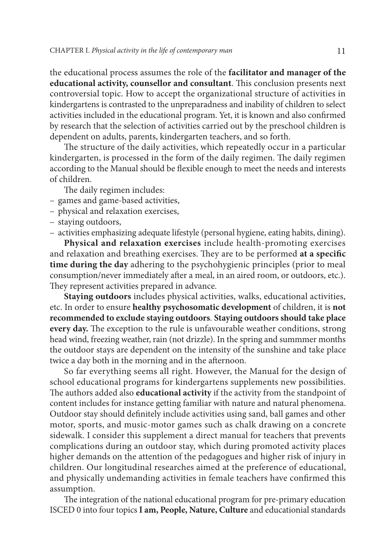the educational process assumes the role of the **facilitator and manager of the educational activity, counsellor and consultant**. This conclusion presents next controversial topic. How to accept the organizational structure of activities in kindergartens is contrasted to the unpreparadness and inability of children to select activities included in the educational program. Yet, it is known and also confirmed by research that the selection of activities carried out by the preschool children is dependent on adults, parents, kindergarten teachers, and so forth.

The structure of the daily activities, which repeatedly occur in a particular kindergarten, is processed in the form of the daily regimen. The daily regimen according to the Manual should be flexible enough to meet the needs and interests of children.

The daily regimen includes:

- games and game-based activities,
- physical and relaxation exercises,
- staying outdoors,
- activities emphasizing adequate lifestyle (personal hygiene, eating habits, dining).

**Physical and relaxation exercises** include health-promoting exercises and relaxation and breathing exercises. They are to be performed **at a specific time during the day** adhering to the psychohygienic principles (prior to meal consumption/never immediately after a meal, in an aired room, or outdoors, etc.). They represent activities prepared in advance.

**Staying outdoors** includes physical activities, walks, educational activities, etc. In order to ensure **healthy psychosomatic development** of children, it is **not recommended to exclude staying outdoors**. **Staying outdoors should take place every day.** The exception to the rule is unfavourable weather conditions, strong head wind, freezing weather, rain (not drizzle). In the spring and summmer months the outdoor stays are dependent on the intensity of the sunshine and take place twice a day both in the morning and in the afternoon.

So far everything seems all right. However, the Manual for the design of school educational programs for kindergartens supplements new possibilities. The authors added also **educational activity** if the activity from the standpoint of content includes for instance getting familiar with nature and natural phenomena. Outdoor stay should definitely include activities using sand, ball games and other motor, sports, and music-motor games such as chalk drawing on a concrete sidewalk. I consider this supplement a direct manual for teachers that prevents complications during an outdoor stay, which during promoted activity places higher demands on the attention of the pedagogues and higher risk of injury in children. Our longitudinal researches aimed at the preference of educational, and physically undemanding activities in female teachers have confirmed this assumption.

The integration of the national educational program for pre-primary education ISCED 0 into four topics **I am, People, Nature, Culture** and educationial standards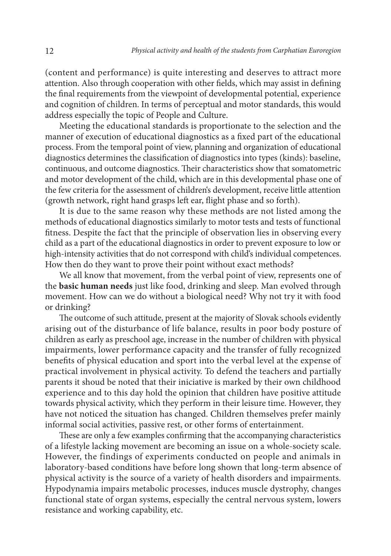(content and performance) is quite interesting and deserves to attract more attention. Also through cooperation with other fields, which may assist in defining the final requirements from the viewpoint of developmental potential, experience and cognition of children. In terms of perceptual and motor standards, this would address especially the topic of People and Culture.

Meeting the educational standards is proportionate to the selection and the manner of execution of educational diagnostics as a fixed part of the educational process. From the temporal point of view, planning and organization of educational diagnostics determines the classification of diagnostics into types (kinds): baseline, continuous, and outcome diagnostics. Their characteristics show that somatometric and motor development of the child, which are in this developmental phase one of the few criteria for the assessment of children's development, receive little attention (growth network, right hand grasps left ear, flight phase and so forth).

It is due to the same reason why these methods are not listed among the methods of educational diagnostics similarly to motor tests and tests of functional fitness. Despite the fact that the principle of observation lies in observing every child as a part of the educational diagnostics in order to prevent exposure to low or high-intensity activities that do not correspond with child's individual competences. How then do they want to prove their point without exact methods?

We all know that movement, from the verbal point of view, represents one of the **basic human needs** just like food, drinking and sleep. Man evolved through movement. How can we do without a biological need? Why not try it with food or drinking?

The outcome of such attitude, present at the majority of Slovak schools evidently arising out of the disturbance of life balance, results in poor body posture of children as early as preschool age, increase in the number of children with physical impairments, lower performance capacity and the transfer of fully recognized benefits of physical education and sport into the verbal level at the expense of practical involvement in physical activity. To defend the teachers and partially parents it shoud be noted that their iniciative is marked by their own childhood experience and to this day hold the opinion that children have positive attitude towards physical activity, which they perform in their leisure time. However, they have not noticed the situation has changed. Children themselves prefer mainly informal social activities, passive rest, or other forms of entertainment.

These are only a few examples confirming that the accompanying characteristics of a lifestyle lacking movement are becoming an issue on a whole-society scale. However, the findings of experiments conducted on people and animals in laboratory-based conditions have before long shown that long-term absence of physical activity is the source of a variety of health disorders and impairments. Hypodynamia impairs metabolic processes, induces muscle dystrophy, changes functional state of organ systems, especially the central nervous system, lowers resistance and working capability, etc.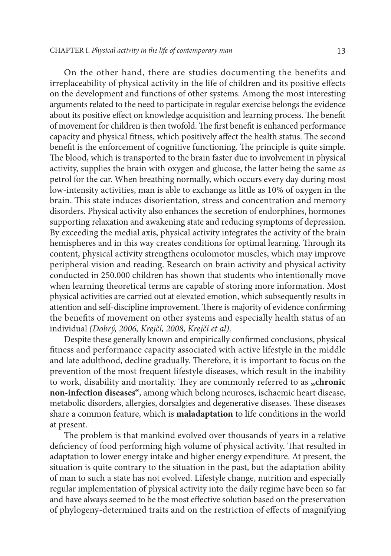On the other hand, there are studies documenting the benefits and irreplaceability of physical activity in the life of children and its positive effects on the development and functions of other systems. Among the most interesting arguments related to the need to participate in regular exercise belongs the evidence about its positive effect on knowledge acquisition and learning process. The benefit of movement for children is then twofold. The first benefit is enhanced performance capacity and physical fitness, which positively affect the health status. The second benefit is the enforcement of cognitive functioning. The principle is quite simple. The blood, which is transported to the brain faster due to involvement in physical activity, supplies the brain with oxygen and glucose, the latter being the same as petrol for the car. When breathing normally, which occurs every day during most low-intensity activities, man is able to exchange as little as 10% of oxygen in the brain. This state induces disorientation, stress and concentration and memory disorders. Physical activity also enhances the secretion of endorphines, hormones supporting relaxation and awakening state and reducing symptoms of depression. By exceeding the medial axis, physical activity integrates the activity of the brain hemispheres and in this way creates conditions for optimal learning. Through its content, physical activity strengthens oculomotor muscles, which may improve peripheral vision and reading. Research on brain activity and physical activity conducted in 250.000 children has shown that students who intentionally move when learning theoretical terms are capable of storing more information. Most physical activities are carried out at elevated emotion, which subsequently results in attention and self-discipline improvement. There is majority of evidence confirming the benefits of movement on other systems and especially health status of an individual *(Dobrý, 2006, Krejčí, 2008, Krejčí et al)*.

Despite these generally known and empirically confirmed conclusions, physical fitness and performance capacity associated with active lifestyle in the middle and late adulthood, decline gradually. Therefore, it is important to focus on the prevention of the most frequent lifestyle diseases, which result in the inability to work, disability and mortality. They are commonly referred to as "chronic **non-infection diseases"**, among which belong neuroses, ischaemic heart disease, metabolic disorders, allergies, dorsalgies and degenerative diseases. These diseases share a common feature, which is **maladaptation** to life conditions in the world at present.

The problem is that mankind evolved over thousands of years in a relative deficiency of food performing high volume of physical activity. That resulted in adaptation to lower energy intake and higher energy expenditure. At present, the situation is quite contrary to the situation in the past, but the adaptation ability of man to such a state has not evolved. Lifestyle change, nutrition and especially regular implementation of physical activity into the daily regime have been so far and have always seemed to be the most effective solution based on the preservation of phylogeny-determined traits and on the restriction of effects of magnifying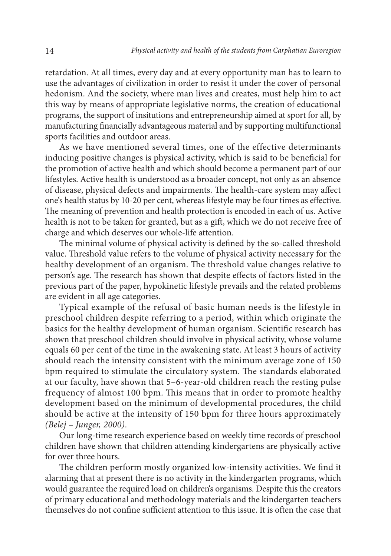retardation. At all times, every day and at every opportunity man has to learn to use the advantages of civilization in order to resist it under the cover of personal hedonism. And the society, where man lives and creates, must help him to act this way by means of appropriate legislative norms, the creation of educational programs, the support of insitutions and entrepreneurship aimed at sport for all, by manufacturing financially advantageous material and by supporting multifunctional sports facilities and outdoor areas.

As we have mentioned several times, one of the effective determinants inducing positive changes is physical activity, which is said to be beneficial for the promotion of active health and which should become a permanent part of our lifestyles. Active health is understood as a broader concept, not only as an absence of disease, physical defects and impairments. The health-care system may affect one's health status by 10-20 per cent, whereas lifestyle may be four times as effective. The meaning of prevention and health protection is encoded in each of us. Active health is not to be taken for granted, but as a gift, which we do not receive free of charge and which deserves our whole-life attention.

The minimal volume of physical activity is defined by the so-called threshold value. Threshold value refers to the volume of physical activity necessary for the healthy development of an organism. The threshold value changes relative to person's age. The research has shown that despite effects of factors listed in the previous part of the paper, hypokinetic lifestyle prevails and the related problems are evident in all age categories.

Typical example of the refusal of basic human needs is the lifestyle in preschool children despite referring to a period, within which originate the basics for the healthy development of human organism. Scientific research has shown that preschool children should involve in physical activity, whose volume equals 60 per cent of the time in the awakening state. At least 3 hours of activity should reach the intensity consistent with the minimum average zone of 150 bpm required to stimulate the circulatory system. The standards elaborated at our faculty, have shown that 5–6-year-old children reach the resting pulse frequency of almost 100 bpm. This means that in order to promote healthy development based on the minimum of developmental procedures, the child should be active at the intensity of 150 bpm for three hours approximately *(Belej – Junger, 2000)*.

Our long-time research experience based on weekly time records of preschool children have shown that children attending kindergartens are physically active for over three hours.

The children perform mostly organized low-intensity activities. We find it alarming that at present there is no activity in the kindergarten programs, which would guarantee the required load on children's organisms. Despite this the creators of primary educational and methodology materials and the kindergarten teachers themselves do not confine sufficient attention to this issue. It is often the case that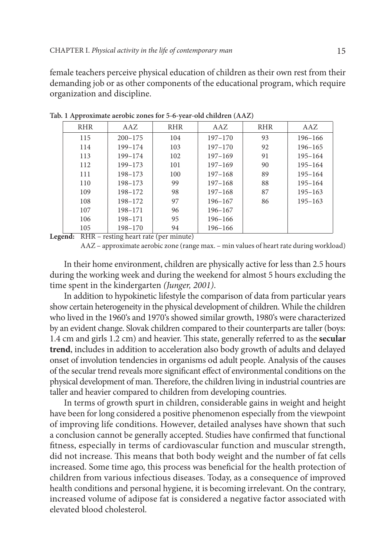female teachers perceive physical education of children as their own rest from their demanding job or as other components of the educational program, which require organization and discipline.

| <b>RHR</b>   | AAZ         | <b>RHR</b> | AAZ         | <b>RHR</b> | AAZ         |
|--------------|-------------|------------|-------------|------------|-------------|
| 115          | $200 - 175$ | 104        | $197 - 170$ | 93         | $196 - 166$ |
| 114          | 199-174     | 103        | $197 - 170$ | 92         | $196 - 165$ |
| 113          | 199-174     | 102        | $197 - 169$ | 91         | $195 - 164$ |
| 112          | 199-173     | 101        | $197 - 169$ | 90         | $195 - 164$ |
| 111          | 198-173     | 100        | $197 - 168$ | 89         | $195 - 164$ |
| 110          | 198-173     | 99         | $197 - 168$ | 88         | $195 - 164$ |
| 109          | 198-172     | 98         | $197 - 168$ | 87         | $195 - 163$ |
| 108          | 198-172     | 97         | 196-167     | 86         | $195 - 163$ |
| 107          | 198-171     | 96         | $196 - 167$ |            |             |
| 106          | 198-171     | 95         | $196 - 166$ |            |             |
| 105<br>_ _ _ | 198-170     | 94         | 196-166     |            |             |

**Tab. 1 Approximate aerobic zones for 5-6-year-old children (AAZ)**

**Legend:** RHR – resting heart rate (per minute)

AAZ – approximate aerobic zone (range max. – min values of heart rate during workload)

In their home environment, children are physically active for less than 2.5 hours during the working week and during the weekend for almost 5 hours excluding the time spent in the kindergarten *(Junger, 2001)*.

In addition to hypokinetic lifestyle the comparison of data from particular years show certain heterogeneity in the physical development of children. While the children who lived in the 1960's and 1970's showed similar growth, 1980's were characterized by an evident change. Slovak children compared to their counterparts are taller (boys: 1.4 cm and girls 1.2 cm) and heavier. This state, generally referred to as the **secular trend**, includes in addition to acceleration also body growth of adults and delayed onset of involution tendencies in organisms od adult people. Analysis of the causes of the secular trend reveals more significant effect of environmental conditions on the physical development of man. Therefore, the children living in industrial countries are taller and heavier compared to children from developing countries.

In terms of growth spurt in children, considerable gains in weight and height have been for long considered a positive phenomenon especially from the viewpoint of improving life conditions. However, detailed analyses have shown that such a conclusion cannot be generally accepted. Studies have confirmed that functional fitness, especially in terms of cardiovascular function and muscular strength, did not increase. This means that both body weight and the number of fat cells increased. Some time ago, this process was beneficial for the health protection of children from various infectious diseases. Today, as a consequence of improved health conditions and personal hygiene, it is becoming irrelevant. On the contrary, increased volume of adipose fat is considered a negative factor associated with elevated blood cholesterol.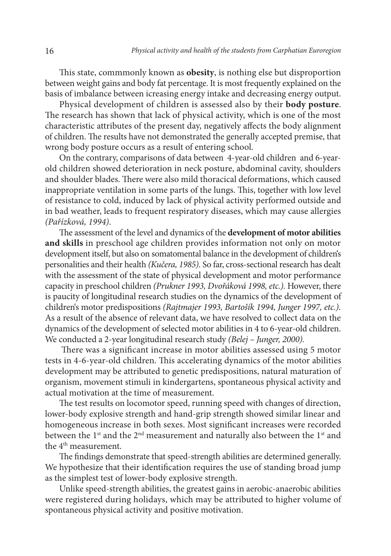This state, commmonly known as **obesity**, is nothing else but disproportion between weight gains and body fat percentage. It is most frequently explained on the basis of imbalance between icreasing energy intake and decreasing energy output.

Physical development of children is assessed also by their **body posture**. The research has shown that lack of physical activity, which is one of the most characteristic attributes of the present day, negatively affects the body alignment of children. The results have not demonstrated the generally accepted premise, that wrong body posture occurs as a result of entering school.

On the contrary, comparisons of data between 4-year-old children and 6-yearold children showed deterioration in neck posture, abdominal cavity, shoulders and shoulder blades. There were also mild thoracical deformations, which caused inappropriate ventilation in some parts of the lungs. This, together with low level of resistance to cold, induced by lack of physical activity performed outside and in bad weather, leads to frequent respiratory diseases, which may cause allergies *(Pařízková, 1994)*.

The assessment of the level and dynamics of the **development of motor abilities and skills** in preschool age children provides information not only on motor development itself, but also on somatomental balance in the development of children's personalities and their health *(Kučera, 1985)*. So far, cross-sectional research has dealt with the assessment of the state of physical development and motor performance capacity in preschool children *(Prukner 1993, Dvořáková 1998, etc.).* However, there is paucity of longitudinal research studies on the dynamics of the development of children's motor predispositions *(Rajtmajer 1993, Bartošík 1994, Junger 1997, etc.)*. As a result of the absence of relevant data, we have resolved to collect data on the dynamics of the development of selected motor abilities in 4 to 6-year-old children. We conducted a 2-year longitudinal research study *(Belej – Junger, 2000).*

There was a significant increase in motor abilities assessed using 5 motor tests in 4-6-year-old children. This accelerating dynamics of the motor abilities development may be attributed to genetic predispositions, natural maturation of organism, movement stimuli in kindergartens, spontaneous physical activity and actual motivation at the time of measurement.

The test results on locomotor speed, running speed with changes of direction, lower-body explosive strength and hand-grip strength showed similar linear and homogeneous increase in both sexes. Most significant increases were recorded between the 1<sup>st</sup> and the 2<sup>nd</sup> measurement and naturally also between the 1<sup>st</sup> and the 4<sup>th</sup> measurement.

The findings demonstrate that speed-strength abilities are determined generally. We hypothesize that their identification requires the use of standing broad jump as the simplest test of lower-body explosive strength.

Unlike speed-strength abilities, the greatest gains in aerobic-anaerobic abilities were registered during holidays, which may be attributed to higher volume of spontaneous physical activity and positive motivation.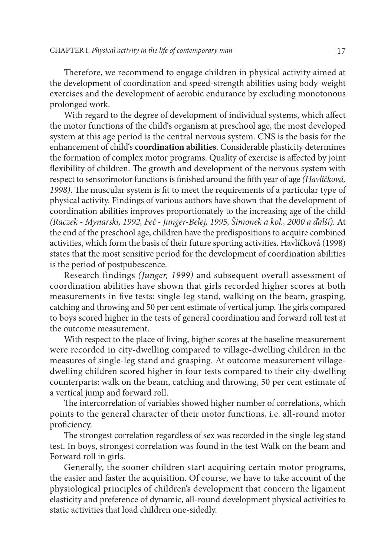Therefore, we recommend to engage children in physical activity aimed at the development of coordination and speed-strength abilities using body-weight exercises and the development of aerobic endurance by excluding monotonous prolonged work.

With regard to the degree of development of individual systems, which affect the motor functions of the child's organism at preschool age, the most developed system at this age period is the central nervous system. CNS is the basis for the enhancement of child's **coordination abilities**. Considerable plasticity determines the formation of complex motor programs. Quality of exercise is affected by joint flexibility of children. The growth and development of the nervous system with respect to sensorimotor functions is finished around the fifth year of age *(Havlíčková, 1998)*. The muscular system is fit to meet the requirements of a particular type of physical activity. Findings of various authors have shown that the development of coordination abilities improves proportionately to the increasing age of the child *(Raczek - Mynarski, 1992, Feč - Junger-Belej, 1995, Šimonek a kol., 2000 a ďalší).* At the end of the preschool age, children have the predispositions to acquire combined activities, which form the basis of their future sporting activities. Havlíčková (1998) states that the most sensitive period for the development of coordination abilities is the period of postpubescence.

Research findings *(Junger, 1999)* and subsequent overall assessment of coordination abilities have shown that girls recorded higher scores at both measurements in five tests: single-leg stand, walking on the beam, grasping, catching and throwing and 50 per cent estimate of vertical jump. The girls compared to boys scored higher in the tests of general coordination and forward roll test at the outcome measurement.

With respect to the place of living, higher scores at the baseline measurement were recorded in city-dwelling compared to village-dwelling children in the measures of single-leg stand and grasping. At outcome measurement villagedwelling children scored higher in four tests compared to their city-dwelling counterparts: walk on the beam, catching and throwing, 50 per cent estimate of a vertical jump and forward roll.

The intercorrelation of variables showed higher number of correlations, which points to the general character of their motor functions, i.e. all-round motor proficiency.

The strongest correlation regardless of sex was recorded in the single-leg stand test. In boys, strongest correlation was found in the test Walk on the beam and Forward roll in girls.

Generally, the sooner children start acquiring certain motor programs, the easier and faster the acquisition. Of course, we have to take account of the physiological principles of children's development that concern the ligament elasticity and preference of dynamic, all-round development physical activities to static activities that load children one-sidedly.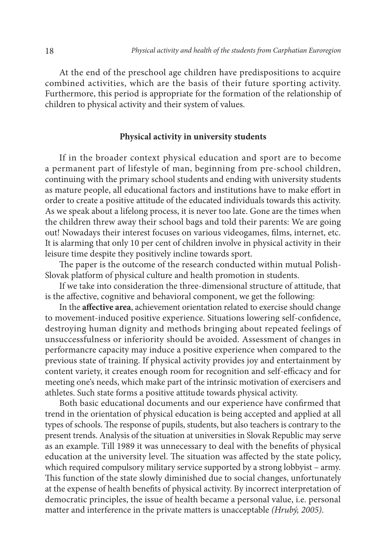At the end of the preschool age children have predispositions to acquire combined activities, which are the basis of their future sporting activity. Furthermore, this period is appropriate for the formation of the relationship of children to physical activity and their system of values.

### **Physical activity in university students**

If in the broader context physical education and sport are to become a permanent part of lifestyle of man, beginning from pre-school children, continuing with the primary school students and ending with university students as mature people, all educational factors and institutions have to make effort in order to create a positive attitude of the educated individuals towards this activity. As we speak about a lifelong process, it is never too late. Gone are the times when the children threw away their school bags and told their parents: We are going out! Nowadays their interest focuses on various videogames, films, internet, etc. It is alarming that only 10 per cent of children involve in physical activity in their leisure time despite they positively incline towards sport.

The paper is the outcome of the research conducted within mutual Polish-Slovak platform of physical culture and health promotion in students.

If we take into consideration the three-dimensional structure of attitude, that is the affective, cognitive and behavioral component, we get the following:

In the **affective area**, achievement orientation related to exercise should change to movement-induced positive experience. Situations lowering self-confidence, destroying human dignity and methods bringing about repeated feelings of unsuccessfulness or inferiority should be avoided. Assessment of changes in performancre capacity may induce a positive experience when compared to the previous state of training. If physical activity provides joy and entertainment by content variety, it creates enough room for recognition and self-efficacy and for meeting one's needs, which make part of the intrinsic motivation of exercisers and athletes. Such state forms a positive attitude towards physical activity.

Both basic educational documents and our experience have confirmed that trend in the orientation of physical education is being accepted and applied at all types of schools. The response of pupils, students, but also teachers is contrary to the present trends. Analysis of the situation at universities in Slovak Republic may serve as an example. Till 1989 it was unnecessary to deal with the benefits of physical education at the university level. The situation was affected by the state policy, which required compulsory military service supported by a strong lobbyist – army. This function of the state slowly diminished due to social changes, unfortunately at the expense of health benefits of physical activity. By incorrect interpretation of democratic principles, the issue of health became a personal value, i.e. personal matter and interference in the private matters is unacceptable *(Hrubý, 2005)*.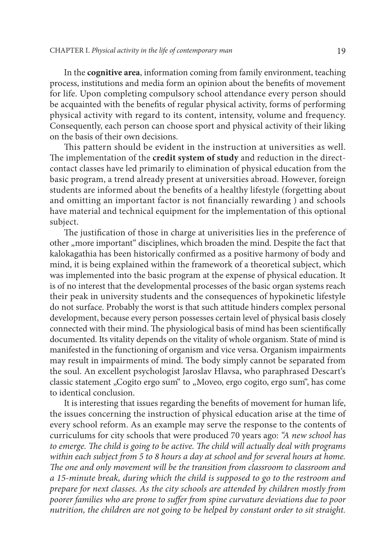In the **cognitive area**, information coming from family environment, teaching process, institutions and media form an opinion about the benefits of movement for life. Upon completing compulsory school attendance every person should be acquainted with the benefits of regular physical activity, forms of performing physical activity with regard to its content, intensity, volume and frequency. Consequently, each person can choose sport and physical activity of their liking on the basis of their own decisions.

This pattern should be evident in the instruction at universities as well. The implementation of the **credit system of study** and reduction in the directcontact classes have led primarily to elimination of physical education from the basic program, a trend already present at universities abroad. However, foreign students are informed about the benefits of a healthy lifestyle (forgetting about and omitting an important factor is not financially rewarding ) and schools have material and technical equipment for the implementation of this optional subject.

The justification of those in charge at univerisities lies in the preference of other "more important" disciplines, which broaden the mind. Despite the fact that kalokagathia has been historically confirmed as a positive harmony of body and mind, it is being explained within the framework of a theoretical subject, which was implemented into the basic program at the expense of physical education. It is of no interest that the developmental processes of the basic organ systems reach their peak in university students and the consequences of hypokinetic lifestyle do not surface. Probably the worst is that such attitude hinders complex personal development, because every person possesses certain level of physical basis closely connected with their mind. The physiological basis of mind has been scientifically documented. Its vitality depends on the vitality of whole organism. State of mind is manifested in the functioning of organism and vice versa. Organism impairments may result in impairments of mind. The body simply cannot be separated from the soul. An excellent psychologist Jaroslav Hlavsa, who paraphrased Descart's classic statement "Cogito ergo sum" to "Moveo, ergo cogito, ergo sum", has come to identical conclusion.

It is interesting that issues regarding the benefits of movement for human life, the issues concerning the instruction of physical education arise at the time of every school reform. As an example may serve the response to the contents of curriculums for city schools that were produced 70 years ago: *"A new school has to emerge. The child is going to be active. The child will actually deal with programs within each subject from 5 to 8 hours a day at school and for several hours at home. The one and only movement will be the transition from classroom to classroom and a 15-minute break, during which the child is supposed to go to the restroom and prepare for next classes. As the city schools are attended by children mostly from poorer families who are prone to suffer from spine curvature deviations due to poor nutrition, the children are not going to be helped by constant order to sit straight.*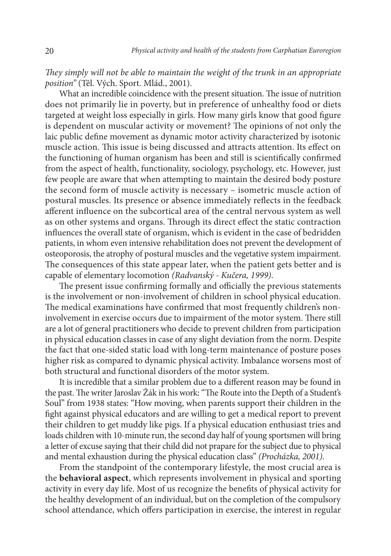*They simply will not be able to maintain the weight of the trunk in an appropriate position"* (Těl. Vých. Sport. Mlád., 2001).

What an incredible coincidence with the present situation. The issue of nutrition does not primarily lie in poverty, but in preference of unhealthy food or diets targeted at weight loss especially in girls. How many girls know that good figure is dependent on muscular activity or movement? The opinions of not only the laic public define movement as dynamic motor activity characterized by isotonic muscle action. This issue is being discussed and attracts attention. Its effect on the functioning of human organism has been and still is scientifically confirmed from the aspect of health, functionality, sociology, psychology, etc. However, just few people are aware that when attempting to maintain the desired body posture the second form of muscle activity is necessary – isometric muscle action of postural muscles. Its presence or absence immediately reflects in the feedback afferent influence on the subcortical area of the central nervous system as well as on other systems and organs. Through its direct effect the static contraction influences the overall state of organism, which is evident in the case of bedridden patients, in whom even intensive rehabilitation does not prevent the development of osteoporosis, the atrophy of postural muscles and the vegetative system impairment. The consequences of this state appear later, when the patient gets better and is capable of elementary locomotion *(Radvanský - Kučera, 1999)*.

The present issue confirming formally and officially the previous statements is the involvement or non-involvement of children in school physical education. The medical examinations have confirmed that most frequently children's noninvolvement in exercise occurs due to impairment of the motor system. There still are a lot of general practitioners who decide to prevent children from participation in physical education classes in case of any slight deviation from the norm. Despite the fact that one-sided static load with long-term maintenance of posture poses higher risk as compared to dynamic physical activity. Imbalance worsens most of both structural and functional disorders of the motor system.

It is incredible that a similar problem due to a different reason may be found in the past. The writer Jaroslav Žák in his work: "The Route into the Depth of a Student's Soul" from 1938 states: "How moving, when parents support their children in the fight against physical educators and are willing to get a medical report to prevent their children to get muddy like pigs. If a physical education enthusiast tries and loads children with 10-minute run, the second day half of young sportsmen will bring a letter of excuse saying that their child did not prapare for the subject due to physical and mental exhaustion during the physical education class" *(Procházka, 2001).* 

From the standpoint of the contemporary lifestyle, the most crucial area is the **behavioral aspect**, which represents involvement in physical and sporting activity in every day life. Most of us recognize the benefits of physical activity for the healthy development of an individual, but on the completion of the compulsory school attendance, which offers participation in exercise, the interest in regular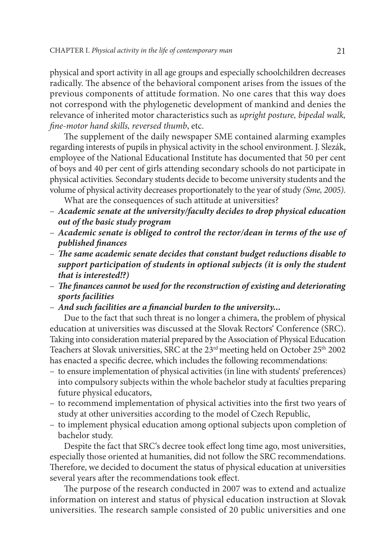physical and sport activity in all age groups and especially schoolchildren decreases radically. The absence of the behavioral component arises from the issues of the previous components of attitude formation. No one cares that this way does not correspond with the phylogenetic development of mankind and denies the relevance of inherited motor characteristics such as *upright posture, bipedal walk, fine-motor hand skills, reversed thumb*, etc.

The supplement of the daily newspaper SME contained alarming examples regarding interests of pupils in physical activity in the school environment. J. Slezák, employee of the National Educational Institute has documented that 50 per cent of boys and 40 per cent of girls attending secondary schools do not participate in physical activities. Secondary students decide to become university students and the volume of physical activity decreases proportionately to the year of study *(Sme, 2005)*.

What are the consequences of such attitude at universities?

- *Academic senate at the university/faculty decides to drop physical education out of the basic study program*
- *Academic senate is obliged to control the rector/dean in terms of the use of published finances*
- *The same academic senate decides that constant budget reductions disable to support participation of students in optional subjects (it is only the student that is interested!?)*
- *The finances cannot be used for the reconstruction of existing and deteriorating sports facilities*
- *And such facilities are a financial burden to the university...*

Due to the fact that such threat is no longer a chimera, the problem of physical education at universities was discussed at the Slovak Rectors' Conference (SRC). Taking into consideration material prepared by the Association of Physical Education Teachers at Slovak universities, SRC at the  $23<sup>rd</sup>$  meeting held on October  $25<sup>th</sup>$  2002 has enacted a specific decree, which includes the following recommendations:

- to ensure implementation of physical activities (in line with students' preferences) into compulsory subjects within the whole bachelor study at faculties preparing future physical educators,
- to recommend implementation of physical activities into the first two years of study at other universities according to the model of Czech Republic,
- to implement physical education among optional subjects upon completion of bachelor study.

Despite the fact that SRC's decree took effect long time ago, most universities, especially those oriented at humanities, did not follow the SRC recommendations. Therefore, we decided to document the status of physical education at universities several years after the recommendations took effect.

The purpose of the research conducted in 2007 was to extend and actualize information on interest and status of physical education instruction at Slovak universities. The research sample consisted of 20 public universities and one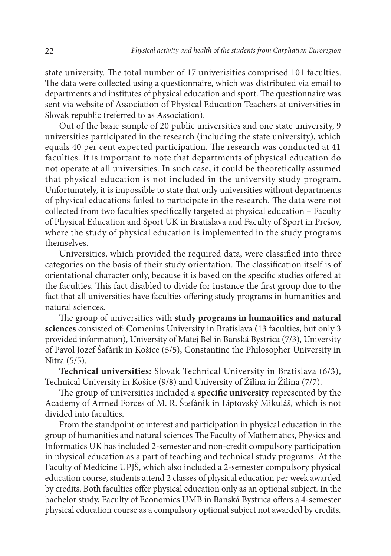state university. The total number of 17 univerisities comprised 101 faculties. The data were collected using a questionnaire, which was distributed via email to departments and institutes of physical education and sport. The questionnaire was sent via website of Association of Physical Education Teachers at universities in Slovak republic (referred to as Association).

Out of the basic sample of 20 public universities and one state university, 9 universities participated in the research (including the state university), which equals 40 per cent expected participation. The research was conducted at 41 faculties. It is important to note that departments of physical education do not operate at all universities. In such case, it could be theoretically assumed that physical education is not included in the university study program. Unfortunately, it is impossible to state that only universities without departments of physical educations failed to participate in the research. The data were not collected from two faculties specifically targeted at physical education – Faculty of Physical Education and Sport UK in Bratislava and Faculty of Sport in Prešov, where the study of physical education is implemented in the study programs themselves.

Universities, which provided the required data, were classified into three categories on the basis of their study orientation. The classification itself is of orientational character only, because it is based on the specific studies offered at the faculties. This fact disabled to divide for instance the first group due to the fact that all universities have faculties offering study programs in humanities and natural sciences.

The group of universities with **study programs in humanities and natural sciences** consisted of: Comenius University in Bratislava (13 faculties, but only 3 provided information), University of Matej Bel in Banská Bystrica (7/3), University of Pavol Jozef Šafárik in Košice (5/5), Constantine the Philosopher University in Nitra (5/5).

**Technical universities:** Slovak Technical University in Bratislava (6/3), Technical University in Košice (9/8) and University of Žilina in Žilina (7/7).

The group of universities included a **specific university** represented by the Academy of Armed Forces of M. R. Štefánik in Liptovský Mikuláš, which is not divided into faculties.

From the standpoint ot interest and participation in physical education in the group of humanities and natural sciences The Faculty of Mathematics, Physics and Informatics UK has included 2-semester and non-credit compulsory participation in physical education as a part of teaching and technical study programs. At the Faculty of Medicine UPJŠ, which also included a 2-semester compulsory physical education course, students attend 2 classes of physical education per week awarded by credits. Both faculties offer physical education only as an optional subject. In the bachelor study, Faculty of Economics UMB in Banská Bystrica offers a 4-semester physical education course as a compulsory optional subject not awarded by credits.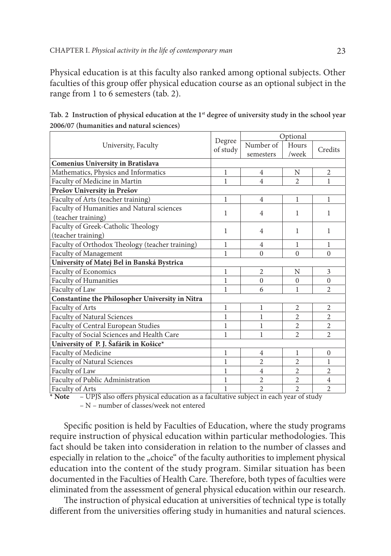Physical education is at this faculty also ranked among optional subjects. Other faculties of this group offer physical education course as an optional subject in the range from 1 to 6 semesters (tab. 2).

|                                                 |                    | Optional       |                |                |
|-------------------------------------------------|--------------------|----------------|----------------|----------------|
| University, Faculty                             | Degree<br>of study | Number of      | Hours          |                |
|                                                 |                    | semesters      | /week          | Credits        |
| <b>Comenius University in Bratislava</b>        |                    |                |                |                |
| Mathematics, Physics and Informatics            | 1                  | $\overline{4}$ | N              | $\overline{c}$ |
| Faculty of Medicine in Martin                   | 1                  | $\overline{4}$ | $\overline{c}$ | 1              |
| Prešov University in Prešov                     |                    |                |                |                |
| Faculty of Arts (teacher training)              | 1                  | $\overline{4}$ | 1              | 1              |
| Faculty of Humanities and Natural sciences      | 1                  | $\overline{4}$ |                | 1              |
| (teacher training)                              |                    |                | 1              |                |
| Faculty of Greek-Catholic Theology              |                    |                | 1              |                |
| (teacher training)                              | 1                  | $\overline{4}$ |                | 1              |
| Faculty of Orthodox Theology (teacher training) | 1                  | $\overline{4}$ | 1              | 1              |
| Faculty of Management                           | 1                  | $\Omega$       | $\Omega$       | $\Omega$       |
| University of Matej Bel in Banská Bystrica      |                    |                |                |                |
| Faculty of Economics                            | 1                  | 2              | N              | 3              |
| Faculty of Humanities                           | 1                  | $\Omega$       | $\Omega$       | $\Omega$       |
| Faculty of Law                                  | 1                  | 6              | 1              | 2              |
| Constantine the Philosopher University in Nitra |                    |                |                |                |
| Faculty of Arts                                 | 1                  | 1              | 2              | 2              |
| Faculty of Natural Sciences                     | 1                  | 1              | $\overline{2}$ | $\overline{2}$ |
| Faculty of Central European Studies             | 1                  | 1              | $\overline{2}$ | $\overline{2}$ |
| Faculty of Social Sciences and Health Care      | 1                  | 1              | $\overline{2}$ | $\overline{2}$ |
| University of P. J. Šafárik in Košice*          |                    |                |                |                |
| Faculty of Medicine                             | 1                  | 4              | 1              | $\Omega$       |
| Faculty of Natural Sciences                     | 1                  | $\overline{c}$ | $\overline{2}$ | 1              |
| Faculty of Law                                  | 1                  | $\overline{4}$ | 2              | 2              |
| Faculty of Public Administration                | 1                  | $\overline{2}$ | $\overline{2}$ | $\overline{4}$ |
| Faculty of Arts                                 | 1                  | $\overline{2}$ | $\overline{2}$ | $\overline{2}$ |

Tab. 2 Instruction of physical education at the 1<sup>st</sup> degree of university study in the school year **2006/07 (humanities and natural sciences)**

**\* Note** – UPJŠ also offers physical education as a facultative subject in each year of study

– N – number of classes/week not entered

Specific position is held by Faculties of Education, where the study programs require instruction of physical education within particular methodologies. This fact should be taken into consideration in relation to the number of classes and especially in relation to the "choice" of the faculty authorities to implement physical education into the content of the study program. Similar situation has been documented in the Faculties of Health Care. Therefore, both types of faculties were eliminated from the assessment of general physical education within our research.

The instruction of physical education at universities of technical type is totally different from the universities offering study in humanities and natural sciences.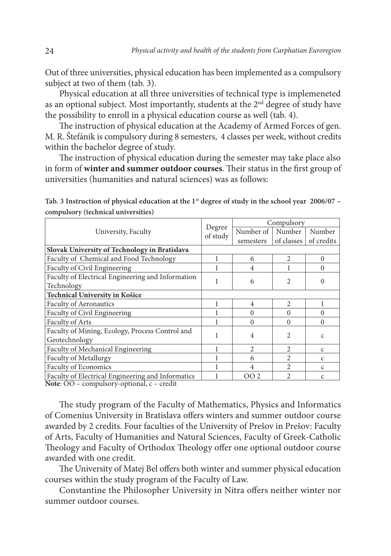Out of three universities, physical education has been implemented as a compulsory subject at two of them (tab. 3).

Physical education at all three universities of technical type is implemeneted as an optional subject. Most importantly, students at the 2<sup>nd</sup> degree of study have the possibility to enroll in a physical education course as well (tab. 4).

The instruction of physical education at the Academy of Armed Forces of gen. M. R. Štefánik is compulsory during 8 semesters, 4 classes per week, without credits within the bachelor degree of study.

The instruction of physical education during the semester may take place also in form of **winter and summer outdoor courses**. Their status in the first group of universities (humanities and natural sciences) was as follows:

| University, Faculty                               |                    | Compulsory     |                             |               |  |
|---------------------------------------------------|--------------------|----------------|-----------------------------|---------------|--|
|                                                   | Degree<br>of study | Number of      | Number                      | Number        |  |
|                                                   |                    | semesters      | of classes                  | of credits    |  |
| Slovak University of Technology in Bratislava     |                    |                |                             |               |  |
| Faculty of Chemical and Food Technology           |                    | 6              | $\overline{c}$              | $\theta$      |  |
| Faculty of Civil Engineering                      |                    | 4              |                             | $\theta$      |  |
| Faculty of Electrical Engineering and Information |                    | 6              | $\mathfrak{D}$              |               |  |
| Technology                                        |                    |                |                             | $\Omega$      |  |
| Technical University in Košice                    |                    |                |                             |               |  |
| <b>Faculty of Aeronautics</b>                     |                    | $\overline{4}$ | $\mathfrak{D}$              |               |  |
| Faculty of Civil Engineering                      |                    | $\Omega$       | $\Omega$                    | $\Omega$      |  |
| Faculty of Arts                                   |                    | $\Omega$       | $\Omega$                    | $\Omega$      |  |
| Faculty of Mining, Ecology, Process Control and   |                    | 4              | 2                           |               |  |
| Geotechnology                                     |                    |                |                             | $\mathsf{C}$  |  |
| Faculty of Mechanical Engineering                 |                    | $\overline{c}$ | $\mathfrak{D}$              | $\mathsf{C}$  |  |
| Faculty of Metallurgy                             |                    | 6              | $\mathfrak{D}$              | $\mathcal{C}$ |  |
| Faculty of Economics                              |                    | 4              | $\mathcal{D}_{\mathcal{L}}$ | $\mathcal{C}$ |  |
| Faculty of Electrical Engineering and Informatics |                    | OO 2           | $\mathfrak{D}$              | C             |  |

Tab. 3 Instruction of physical education at the 1<sup>st</sup> degree of study in the school year 2006/07 **compulsory (technical universities)**

**Note**: OO – compulsory-optional, c – credit

The study program of the Faculty of Mathematics, Physics and Informatics of Comenius University in Bratislava offers winters and summer outdoor course awarded by 2 credits. Four faculties of the University of Prešov in Prešov: Faculty of Arts, Faculty of Humanities and Natural Sciences, Faculty of Greek-Catholic Theology and Faculty of Orthodox Theology offer one optional outdoor course awarded with one credit.

The University of Matej Bel offers both winter and summer physical education courses within the study program of the Faculty of Law.

Constantine the Philosopher University in Nitra offers neither winter nor summer outdoor courses.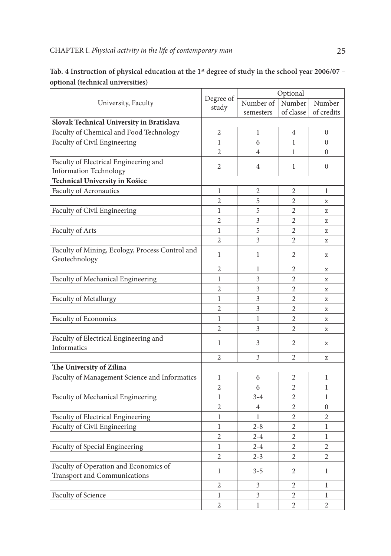|                                                                       | Degree of      | Optional       |                |                |
|-----------------------------------------------------------------------|----------------|----------------|----------------|----------------|
| University, Faculty                                                   | study          | Number of      | Number         | Number         |
|                                                                       |                | semesters      | of classe      | of credits     |
| Slovak Technical University in Bratislava                             |                |                |                |                |
| Faculty of Chemical and Food Technology                               | $\overline{2}$ | 1              | 4              | 0              |
| Faculty of Civil Engineering                                          | $\mathbf{1}$   | 6              | $\mathbf{1}$   | $\overline{0}$ |
|                                                                       | $\overline{2}$ | $\overline{4}$ | $\mathbf{1}$   | $\overline{0}$ |
| Faculty of Electrical Engineering and                                 |                |                |                |                |
| <b>Information Technology</b>                                         | $\overline{2}$ | $\overline{4}$ | 1              | $\Omega$       |
| Technical University in Košice                                        |                |                |                |                |
| Faculty of Aeronautics                                                | 1              | 2              | 2              | 1              |
|                                                                       | 2              | 5              | 2              | z              |
| Faculty of Civil Engineering                                          | 1              | 5              | 2              | Z              |
|                                                                       | $\overline{2}$ | 3              | $\overline{2}$ | z              |
| Faculty of Arts                                                       | $\mathbf{1}$   | 5              | $\overline{2}$ | Z              |
|                                                                       | $\overline{2}$ | 3              | $\overline{2}$ | z              |
| Faculty of Mining, Ecology, Process Control and                       |                |                |                |                |
| Geotechnology                                                         | $\mathbf{1}$   | 1              | $\overline{c}$ | z              |
|                                                                       | $\overline{2}$ | 1              | 2              | Z              |
| Faculty of Mechanical Engineering                                     | 1              | 3              | 2              | z              |
|                                                                       | 2              | 3              | 2              | Z              |
| Faculty of Metallurgy                                                 | $\mathbf{1}$   | 3              | $\overline{2}$ | z              |
|                                                                       | $\overline{c}$ | 3              | $\overline{c}$ | Z              |
| Faculty of Economics                                                  | 1              | $\mathbf{1}$   | $\overline{2}$ | Z              |
|                                                                       | $\overline{2}$ | 3              | $\overline{2}$ | z              |
| Faculty of Electrical Engineering and<br>Informatics                  | $\mathbf{1}$   | 3              | $\mathfrak{D}$ | z              |
|                                                                       | 2              | 3              | 2              | Z              |
| The University of Zilina                                              |                |                |                |                |
| Faculty of Management Science and Informatics                         | $\mathbf{1}$   | 6              | $\overline{c}$ | $\mathbf{1}$   |
|                                                                       | $\overline{2}$ | 6              | $\overline{c}$ | 1              |
| Faculty of Mechanical Engineering                                     | $\mathbf{1}$   | $3 - 4$        | $\overline{2}$ | $\mathbf{1}$   |
|                                                                       | $\overline{c}$ | $\overline{4}$ | $\overline{c}$ | 0              |
| Faculty of Electrical Engineering                                     | $\mathbf{1}$   | 1              | 2              | $\overline{c}$ |
| Faculty of Civil Engineering                                          | $\mathbf{1}$   | $2 - 8$        | $\overline{c}$ | 1              |
|                                                                       | $\overline{2}$ | $2 - 4$        | $\overline{c}$ | 1              |
| Faculty of Special Engineering                                        | 1              | $2 - 4$        | $\mathfrak{D}$ | $\overline{2}$ |
|                                                                       | $\overline{2}$ |                | $\overline{c}$ |                |
|                                                                       |                | $2 - 3$        |                | $\overline{2}$ |
| Faculty of Operation and Economics of<br>Transport and Communications | $\mathbf{1}$   | $3 - 5$        | 2              | 1              |
|                                                                       | $\overline{c}$ | 3              | 2              | 1              |
| Faculty of Science                                                    | 1              | 3              | 2              | 1              |
|                                                                       | $\overline{2}$ | 1              | $\overline{c}$ | $\overline{c}$ |

| Tab. 4 Instruction of physical education at the $1st$ degree of study in the school year 2006/07 – |  |
|----------------------------------------------------------------------------------------------------|--|
| optional (technical universities)                                                                  |  |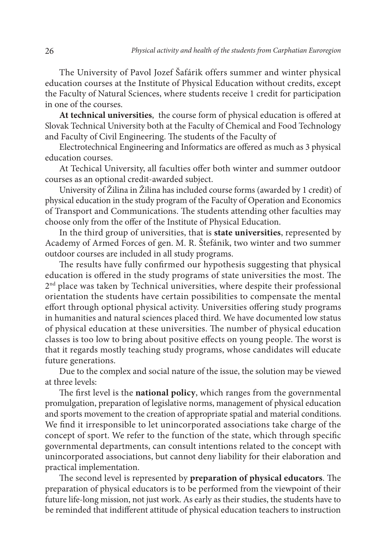The University of Pavol Jozef Šafárik offers summer and winter physical education courses at the Institute of Physical Education without credits, except the Faculty of Natural Sciences, where students receive 1 credit for participation in one of the courses.

**At technical universities**, the course form of physical education is offered at Slovak Technical University both at the Faculty of Chemical and Food Technology and Faculty of Civil Engineering. The students of the Faculty of

Electrotechnical Engineering and Informatics are offered as much as 3 physical education courses.

At Techical University, all faculties offer both winter and summer outdoor courses as an optional credit-awarded subject.

University of Žilina in Žilina has included course forms (awarded by 1 credit) of physical education in the study program of the Faculty of Operation and Economics of Transport and Communications. The students attending other faculties may choose only from the offer of the Institute of Physical Education.

In the third group of universities, that is **state universities**, represented by Academy of Armed Forces of gen. M. R. Štefánik, two winter and two summer outdoor courses are included in all study programs.

The results have fully confirmed our hypothesis suggesting that physical education is offered in the study programs of state universities the most. The 2<sup>nd</sup> place was taken by Technical universities, where despite their professional orientation the students have certain possibilities to compensate the mental effort through optional physical activity. Universities offering study programs in humanities and natural sciences placed third. We have documented low status of physical education at these universities. The number of physical education classes is too low to bring about positive effects on young people. The worst is that it regards mostly teaching study programs, whose candidates will educate future generations.

Due to the complex and social nature of the issue, the solution may be viewed at three levels:

The first level is the **national policy**, which ranges from the governmental promulgation, preparation of legislative norms, management of physical education and sports movement to the creation of appropriate spatial and material conditions. We find it irresponsible to let unincorporated associations take charge of the concept of sport. We refer to the function of the state, which through specific governmental departments, can consult intentions related to the concept with unincorporated associations, but cannot deny liability for their elaboration and practical implementation.

The second level is represented by **preparation of physical educators**. The preparation of physical educators is to be performed from the viewpoint of their future life-long mission, not just work. As early as their studies, the students have to be reminded that indifferent attitude of physical education teachers to instruction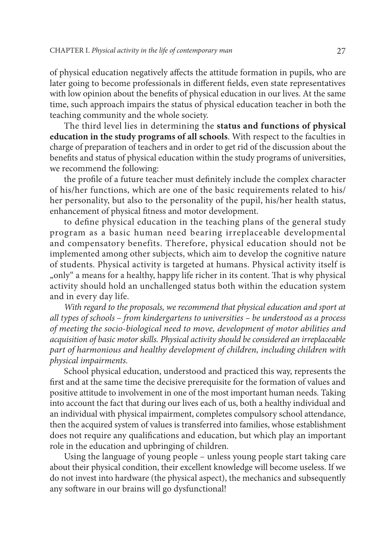of physical education negatively affects the attitude formation in pupils, who are later going to become professionals in different fields, even state representatives with low opinion about the benefits of physical education in our lives. At the same time, such approach impairs the status of physical education teacher in both the teaching community and the whole society.

The third level lies in determining the **status and functions of physical education in the study programs of all schools**. With respect to the faculties in charge of preparation of teachers and in order to get rid of the discussion about the benefits and status of physical education within the study programs of universities, we recommend the following:

the profile of a future teacher must definitely include the complex character of his/her functions, which are one of the basic requirements related to his/ her personality, but also to the personality of the pupil, his/her health status, enhancement of physical fitness and motor development.

to define physical education in the teaching plans of the general study program as a basic human need bearing irreplaceable developmental and compensatory benefits. Therefore, physical education should not be implemented among other subjects, which aim to develop the cognitive nature of students. Physical activity is targeted at humans. Physical activity itself is "only" a means for a healthy, happy life richer in its content. That is why physical activity should hold an unchallenged status both within the education system and in every day life.

With regard to the proposals, we recommend that physical education and sport at *all types of schools – from kindergartens to universities – be understood as a process of meeting the socio-biological need to move, development of motor abilities and acquisition of basic motor skills. Physical activity should be considered an irreplaceable part of harmonious and healthy development of children, including children with physical impairments.* 

School physical education, understood and practiced this way, represents the first and at the same time the decisive prerequisite for the formation of values and positive attitude to involvement in one of the most important human needs. Taking into account the fact that during our lives each of us, both a healthy individual and an individual with physical impairment, completes compulsory school attendance, then the acquired system of values is transferred into families, whose establishment does not require any qualifications and education, but which play an important role in the education and upbringing of children.

Using the language of young people – unless young people start taking care about their physical condition, their excellent knowledge will become useless. If we do not invest into hardware (the physical aspect), the mechanics and subsequently any software in our brains will go dysfunctional!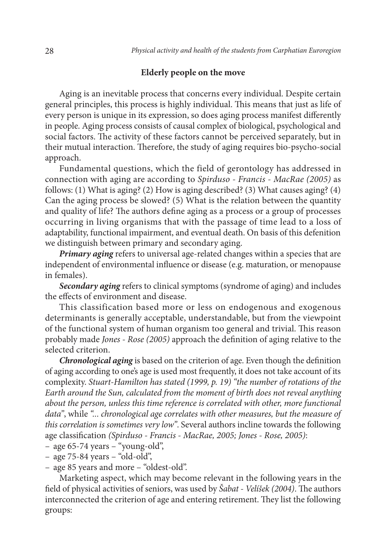### **Elderly people on the move**

Aging is an inevitable process that concerns every individual. Despite certain general principles, this process is highly individual. This means that just as life of every person is unique in its expression, so does aging process manifest differently in people. Aging process consists of causal complex of biological, psychological and social factors. The activity of these factors cannot be perceived separately, but in their mutual interaction. Therefore, the study of aging requires bio-psycho-social approach.

Fundamental questions, which the field of gerontology has addressed in connection with aging are according to *Spirduso - Francis - MacRae (2005)* as follows: (1) What is aging? (2) How is aging described? (3) What causes aging? (4) Can the aging process be slowed? (5) What is the relation between the quantity and quality of life? The authors define aging as a process or a group of processes occurring in living organisms that with the passage of time lead to a loss of adaptability, functional impairment, and eventual death. On basis of this defenition we distinguish between primary and secondary aging.

*Primary aging* refers to universal age-related changes within a species that are independent of environmental influence or disease (e.g. maturation, or menopause in females).

*Secondary aging* refers to clinical symptoms (syndrome of aging) and includes the effects of environment and disease.

This classification based more or less on endogenous and exogenous determinants is generally acceptable, understandable, but from the viewpoint of the functional system of human organism too general and trivial. This reason probably made *Jones - Rose (2005)* approach the definition of aging relative to the selected criterion.

*Chronological aging* is based on the criterion of age. Even though the definition of aging according to one's age is used most frequently, it does not take account of its complexity. *Stuart-Hamilton has stated (1999, p. 19) "the number of rotations of the Earth around the Sun, calculated from the moment of birth does not reveal anything about the person, unless this time reference is correlated with other, more functional data"*, while *"... chronological age correlates with other measures, but the measure of this correlation is sometimes very low"*. Several authors incline towards the following age classification *(Spirduso - Francis - MacRae, 2005; Jones - Rose, 2005)*:

– age 65-74 years – "young-old",

– age 75-84 years – "old-old",

– age 85 years and more – "oldest-old".

Marketing aspect, which may become relevant in the following years in the field of physical activities of seniors, was used by *Šabat - Velíšek (2004)*. The authors interconnected the criterion of age and entering retirement. They list the following groups: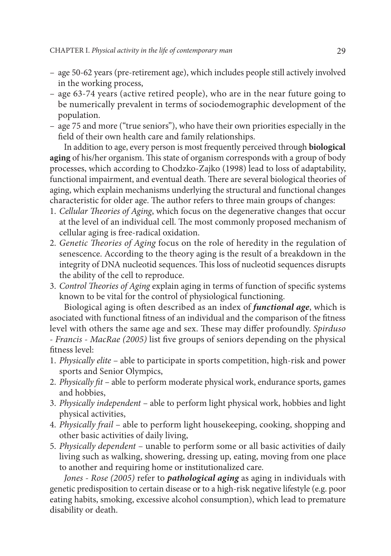- age 50-62 years (pre-retirement age), which includes people still actively involved in the working process,
- age 63-74 years (active retired people), who are in the near future going to be numerically prevalent in terms of sociodemographic development of the population.
- age 75 and more ("true seniors"), who have their own priorities especially in the field of their own health care and family relationships.

In addition to age, every person is most frequently perceived through **biological aging** of his/her organism. This state of organism corresponds with a group of body processes, which according to Chodzko-Zajko (1998) lead to loss of adaptability, functional impairment, and eventual death. There are several biological theories of aging, which explain mechanisms underlying the structural and functional changes characteristic for older age. The author refers to three main groups of changes:

- 1. *Cellular Theories of Aging*, which focus on the degenerative changes that occur at the level of an individual cell. The most commonly proposed mechanism of cellular aging is free-radical oxidation.
- 2. *Genetic Theories of Aging* focus on the role of heredity in the regulation of senescence. According to the theory aging is the result of a breakdown in the integrity of DNA nucleotid sequences. This loss of nucleotid sequences disrupts the ability of the cell to reproduce.
- 3. *Control Theories of Aging* explain aging in terms of function of specific systems known to be vital for the control of physiological functioning.

Biological aging is often described as an index of *functional age*, which is asociated with functional fitness of an individual and the comparison of the fitness level with others the same age and sex. These may differ profoundly. *Spirduso - Francis - MacRae (2005)* list five groups of seniors depending on the physical fitness level:

- 1. *Physically elite* able to participate in sports competition, high-risk and power sports and Senior Olympics,
- 2. *Physically fit* able to perform moderate physical work, endurance sports, games and hobbies,
- 3. *Physically independent* able to perform light physical work, hobbies and light physical activities,
- 4. *Physically frail* able to perform light housekeeping, cooking, shopping and other basic activities of daily living,
- 5. *Physically dependent*  unable to perform some or all basic activities of daily living such as walking, showering, dressing up, eating, moving from one place to another and requiring home or institutionalized care.

*Jones - Rose (2005)* refer to *pathological aging* as aging in individuals with genetic predisposition to certain disease or to a high-risk negative lifestyle (e.g. poor eating habits, smoking, excessive alcohol consumption), which lead to premature disability or death.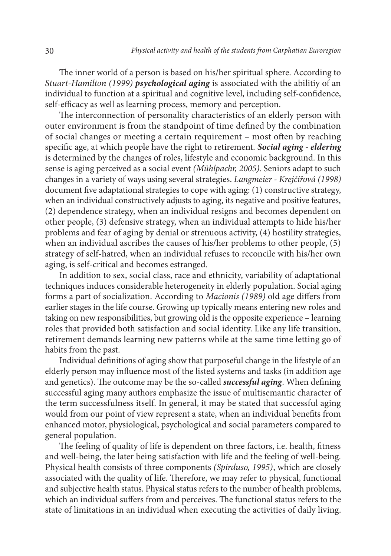The inner world of a person is based on his/her spiritual sphere. According to *Stuart-Hamilton (1999) psychological aging* is associated with the abilitiy of an individual to function at a spiritual and cognitive level, including self-confidence, self-efficacy as well as learning process, memory and perception.

The interconnection of personality characteristics of an elderly person with outer environment is from the standpoint of time defined by the combination of social changes or meeting a certain requirement – most often by reaching specific age, at which people have the right to retirement. *Social aging - eldering* is determined by the changes of roles, lifestyle and economic background. In this sense is aging perceived as a social event *(Mühlpachr, 2005)*. Seniors adapt to such changes in a variety of ways using several strategies. *Langmeier - Krejčířová (1998)* document five adaptational strategies to cope with aging: (1) constructive strategy, when an individual constructively adjusts to aging, its negative and positive features, (2) dependence strategy, when an individual resigns and becomes dependent on other people, (3) defensive strategy, when an individual attempts to hide his/her problems and fear of aging by denial or strenuous activity, (4) hostility strategies, when an individual ascribes the causes of his/her problems to other people, (5) strategy of self-hatred, when an individual refuses to reconcile with his/her own aging, is self-critical and becomes estranged.

In addition to sex, social class, race and ethnicity, variability of adaptational techniques induces considerable heterogeneity in elderly population. Social aging forms a part of socialization. According to *Macionis (1989)* old age differs from earlier stages in the life course. Growing up typically means entering new roles and taking on new responsibilities, but growing old is the opposite experience – learning roles that provided both satisfaction and social identity. Like any life transition, retirement demands learning new patterns while at the same time letting go of habits from the past.

Individual definitions of aging show that purposeful change in the lifestyle of an elderly person may influence most of the listed systems and tasks (in addition age and genetics). The outcome may be the so-called *successful aging*. When defining successful aging many authors emphasize the issue of multisemantic character of the term successfulness itself. In general, it may be stated that successful aging would from our point of view represent a state, when an individual benefits from enhanced motor, physiological, psychological and social parameters compared to general population.

The feeling of quality of life is dependent on three factors, i.e. health, fitness and well-being, the later being satisfaction with life and the feeling of well-being. Physical health consists of three components *(Spirduso, 1995)*, which are closely associated with the quality of life. Therefore, we may refer to physical, functional and subjective health status. Physical status refers to the number of health problems, which an individual suffers from and perceives. The functional status refers to the state of limitations in an individual when executing the activities of daily living.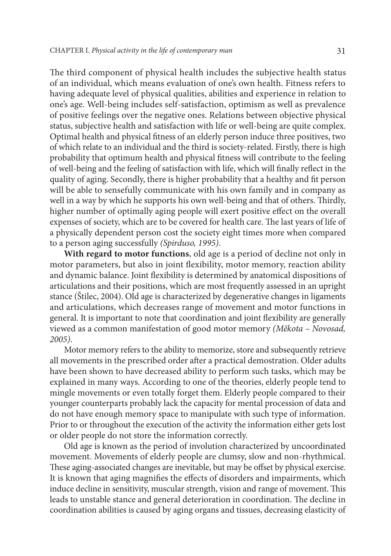The third component of physical health includes the subjective health status of an individual, which means evaluation of one's own health. Fitness refers to having adequate level of physical qualities, abilities and experience in relation to one's age. Well-being includes self-satisfaction, optimism as well as prevalence of positive feelings over the negative ones. Relations between objective physical status, subjective health and satisfaction with life or well-being are quite complex. Optimal health and physical fitness of an elderly person induce three positives, two of which relate to an individual and the third is society-related. Firstly, there is high probability that optimum health and physical fitness will contribute to the feeling of well-being and the feeling of satisfaction with life, which will finally reflect in the quality of aging. Secondly, there is higher probability that a healthy and fit person will be able to sensefully communicate with his own family and in company as well in a way by which he supports his own well-being and that of others. Thirdly, higher number of optimally aging people will exert positive effect on the overall expenses of society, which are to be covered for health care. The last years of life of a physically dependent person cost the society eight times more when compared to a person aging successfully *(Spirduso, 1995)*.

**With regard to motor functions**, old age is a period of decline not only in motor parameters, but also in joint flexibility, motor memory, reaction ability and dynamic balance. Joint flexibility is determined by anatomical dispositions of articulations and their positions, which are most frequently assessed in an upright stance (Štilec, 2004). Old age is characterized by degenerative changes in ligaments and articulations, which decreases range of movement and motor functions in general. It is important to note that coordination and joint flexibility are generally viewed as a common manifestation of good motor memory *(Měkota – Novosad, 2005)*.

Motor memory refers to the ability to memorize, store and subsequently retrieve all movements in the prescribed order after a practical demostration. Older adults have been shown to have decreased ability to perform such tasks, which may be explained in many ways. According to one of the theories, elderly people tend to mingle movements or even totally forget them. Elderly people compared to their younger counterparts probably lack the capacity for mental procession of data and do not have enough memory space to manipulate with such type of information. Prior to or throughout the execution of the activity the information either gets lost or older people do not store the information correctly.

Old age is known as the period of involution characterized by uncoordinated movement. Movements of elderly people are clumsy, slow and non-rhythmical. These aging-associated changes are inevitable, but may be offset by physical exercise. It is known that aging magnifies the effects of disorders and impairments, which induce decline in sensitivity, muscular strength, vision and range of movement. This leads to unstable stance and general deterioration in coordination. The decline in coordination abilities is caused by aging organs and tissues, decreasing elasticity of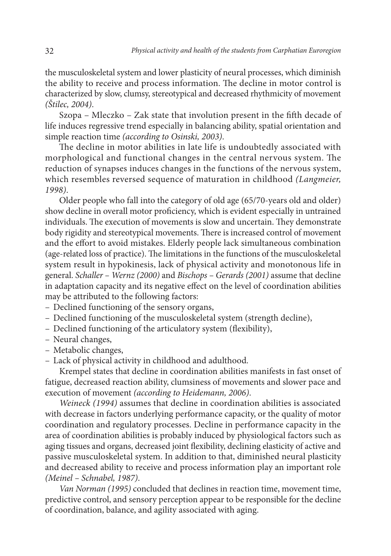the musculoskeletal system and lower plasticity of neural processes, which diminish the ability to receive and process information. The decline in motor control is characterized by slow, clumsy, stereotypical and decreased rhythmicity of movement *(Štilec, 2004)*.

Szopa – Mleczko – Zak state that involution present in the fifth decade of life induces regressive trend especially in balancing ability, spatial orientation and simple reaction time *(according to Osinski, 2003)*.

The decline in motor abilities in late life is undoubtedly associated with morphological and functional changes in the central nervous system. The reduction of synapses induces changes in the functions of the nervous system, which resembles reversed sequence of maturation in childhood *(Langmeier, 1998)*.

Older people who fall into the category of old age (65/70-years old and older) show decline in overall motor proficiency, which is evident especially in untrained individuals. The execution of movements is slow and uncertain. They demonstrate body rigidity and stereotypical movements. There is increased control of movement and the effort to avoid mistakes. Elderly people lack simultaneous combination (age-related loss of practice). The limitations in the functions of the musculoskeletal system result in hypokinesis, lack of physical activity and monotonous life in general. *Schaller – Wernz (2000)* and *Bischops – Gerards (2001)* assume that decline in adaptation capacity and its negative effect on the level of coordination abilities may be attributed to the following factors:

- Declined functioning of the sensory organs,
- Declined functioning of the musculoskeletal system (strength decline),
- Declined functioning of the articulatory system (flexibility),
- Neural changes,
- Metabolic changes,
- Lack of physical activity in childhood and adulthood.

Krempel states that decline in coordination abilities manifests in fast onset of fatigue, decreased reaction ability, clumsiness of movements and slower pace and execution of movement *(according to Heidemann, 2006)*.

*Weineck (1994)* assumes that decline in coordination abilities is associated with decrease in factors underlying performance capacity, or the quality of motor coordination and regulatory processes. Decline in performance capacity in the area of coordination abilities is probably induced by physiological factors such as aging tissues and organs, decreased joint flexibility, declining elasticity of active and passive musculoskeletal system. In addition to that, diminished neural plasticity and decreased ability to receive and process information play an important role *(Meinel – Schnabel, 1987)*.

*Van Norman (1995)* concluded that declines in reaction time, movement time, predictive control, and sensory perception appear to be responsible for the decline of coordination, balance, and agility associated with aging.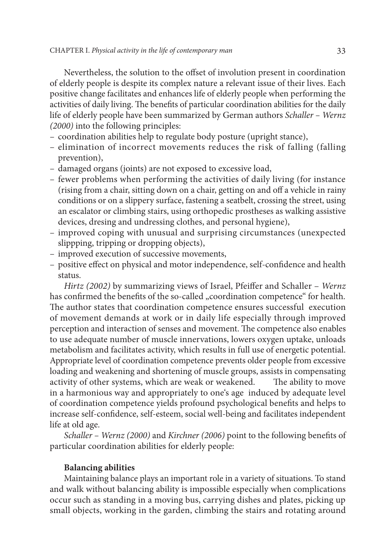Nevertheless, the solution to the offset of involution present in coordination of elderly people is despite its complex nature a relevant issue of their lives. Each positive change facilitates and enhances life of elderly people when performing the activities of daily living. The benefits of particular coordination abilities for the daily life of elderly people have been summarized by German authors *Schaller – Wernz (2000)* into the following principles:

- coordination abilities help to regulate body posture (upright stance),
- elimination of incorrect movements reduces the risk of falling (falling prevention),
- damaged organs (joints) are not exposed to excessive load,
- fewer problems when performing the activities of daily living (for instance (rising from a chair, sitting down on a chair, getting on and off a vehicle in rainy conditions or on a slippery surface, fastening a seatbelt, crossing the street, using an escalator or climbing stairs, using orthopedic prostheses as walking assistive devices, dresing and undressing clothes, and personal hygiene),
- improved coping with unusual and surprising circumstances (unexpected slippping, tripping or dropping objects),
- improved execution of successive movements,
- positive effect on physical and motor independence, self-confidence and health status.

*Hirtz (2002)* by summarizing views of Israel, Pfeiffer and Schaller – *Wernz* has confirmed the benefits of the so-called "coordination competence" for health. The author states that coordination competence ensures successful execution of movement demands at work or in daily life especially through improved perception and interaction of senses and movement. The competence also enables to use adequate number of muscle innervations, lowers oxygen uptake, unloads metabolism and facilitates activity, which results in full use of energetic potential. Appropriate level of coordination competence prevents older people from excessive loading and weakening and shortening of muscle groups, assists in compensating activity of other systems, which are weak or weakened. The ability to move in a harmonious way and appropriately to one's age induced by adequate level of coordination competence yields profound psychological benefits and helps to increase self-confidence, self-esteem, social well-being and facilitates independent life at old age.

*Schaller – Wernz (2000)* and *Kirchner (2006)* point to the following benefits of particular coordination abilities for elderly people:

### **Balancing abilities**

Maintaining balance plays an important role in a variety of situations. To stand and walk without balancing ability is impossible especially when complications occur such as standing in a moving bus, carrying dishes and plates, picking up small objects, working in the garden, climbing the stairs and rotating around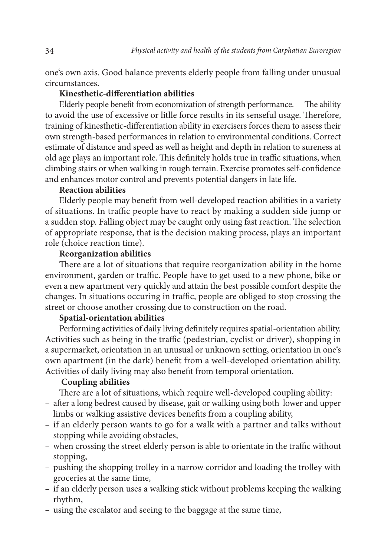one's own axis. Good balance prevents elderly people from falling under unusual circumstances.

### **Kinesthetic-differentiation abilities**

Elderly people benefit from economization of strength performance. The ability to avoid the use of excessive or litlle force results in its senseful usage. Therefore, training of kinesthetic-differentiation ability in exercisers forces them to assess their own strength-based performances in relation to environmental conditions. Correct estimate of distance and speed as well as height and depth in relation to sureness at old age plays an important role. This definitely holds true in traffic situations, when climbing stairs or when walking in rough terrain. Exercise promotes self-confidence and enhances motor control and prevents potential dangers in late life.

### **Reaction abilities**

Elderly people may benefit from well-developed reaction abilities in a variety of situations. In traffic people have to react by making a sudden side jump or a sudden stop. Falling object may be caught only using fast reaction. The selection of appropriate response, that is the decision making process, plays an important role (choice reaction time).

### **Reorganization abilities**

There are a lot of situations that require reorganization ability in the home environment, garden or traffic. People have to get used to a new phone, bike or even a new apartment very quickly and attain the best possible comfort despite the changes. In situations occuring in traffic, people are obliged to stop crossing the street or choose another crossing due to construction on the road.

### **Spatial-orientation abilities**

Performing activities of daily living definitely requires spatial-orientation ability. Activities such as being in the traffic (pedestrian, cyclist or driver), shopping in a supermarket, orientation in an unusual or unknown setting, orientation in one's own apartment (in the dark) benefit from a well-developed orientation ability. Activities of daily living may also benefit from temporal orientation.

### **Coupling abilities**

There are a lot of situations, which require well-developed coupling ability:

- after a long bedrest caused by disease, gait or walking using both lower and upper limbs or walking assistive devices benefits from a coupling ability,
- if an elderly person wants to go for a walk with a partner and talks without stopping while avoiding obstacles,
- when crossing the street elderly person is able to orientate in the traffic without stopping,
- pushing the shopping trolley in a narrow corridor and loading the trolley with groceries at the same time,
- if an elderly person uses a walking stick without problems keeping the walking rhythm,
- using the escalator and seeing to the baggage at the same time,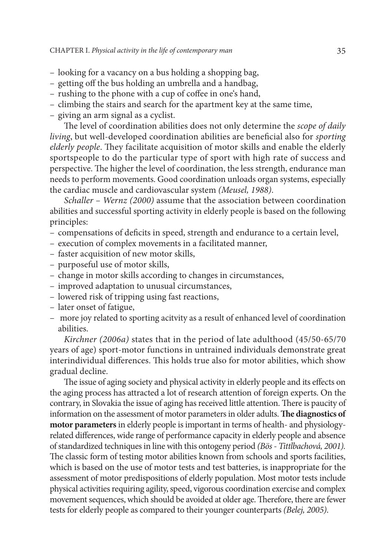- looking for a vacancy on a bus holding a shopping bag,
- getting off the bus holding an umbrella and a handbag,
- rushing to the phone with a cup of coffee in one's hand,
- climbing the stairs and search for the apartment key at the same time,
- giving an arm signal as a cyclist.

The level of coordination abilities does not only determine the *scope of daily living*, but well-developed coordination abilities are beneficial also for *sporting elderly people*. They facilitate acquisition of motor skills and enable the elderly sportspeople to do the particular type of sport with high rate of success and perspective. The higher the level of coordination, the less strength, endurance man needs to perform movements. Good coordination unloads organ systems, especially the cardiac muscle and cardiovascular system *(Meusel, 1988)*.

*Schaller – Wernz (2000)* assume that the association between coordination abilities and successful sporting activity in elderly people is based on the following principles:

- compensations of deficits in speed, strength and endurance to a certain level,
- execution of complex movements in a facilitated manner,
- faster acquisition of new motor skills,
- purposeful use of motor skills,
- change in motor skills according to changes in circumstances,
- improved adaptation to unusual circumstances,
- lowered risk of tripping using fast reactions,
- later onset of fatigue,
- more joy related to sporting acitvity as a result of enhanced level of coordination abilities.

*Kirchner (2006a)* states that in the period of late adulthood (45/50-65/70 years of age) sport-motor functions in untrained individuals demonstrate great interindividual differences. This holds true also for motor abilities, which show gradual decline.

The issue of aging society and physical activity in elderly people and its effects on the aging process has attracted a lot of research attention of foreign experts. On the contrary, in Slovakia the issue of aging has received little attention. There is paucity of information on the assessment of motor parameters in older adults. **The diagnostics of motor parameters** in elderly people is important in terms of health- and physiologyrelated differences, wide range of performance capacity in elderly people and absence of standardized techniques in line with this ontogeny period *(Bös - Tittlbachová, 2001).* The classic form of testing motor abilities known from schools and sports facilities, which is based on the use of motor tests and test batteries, is inappropriate for the assessment of motor predispositions of elderly population. Most motor tests include physical activities requiring agility, speed, vigorous coordination exercise and complex movement sequences, which should be avoided at older age. Therefore, there are fewer tests for elderly people as compared to their younger counterparts *(Belej, 2005)*.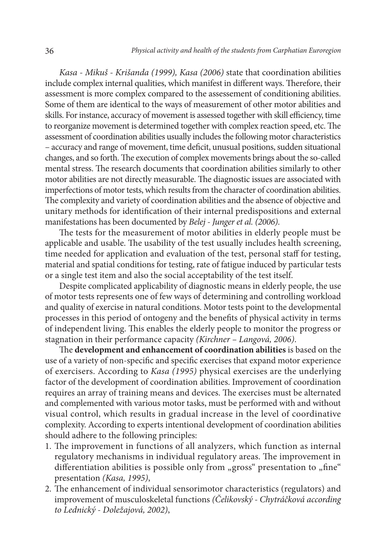*Kasa - Mikuš - Krišanda (1999), Kasa (2006)* state that coordination abilities include complex internal qualities, which manifest in different ways. Therefore, their assessment is more complex compared to the assessement of conditioning abilities. Some of them are identical to the ways of measurement of other motor abilities and skills. For instance, accuracy of movement is assessed together with skill efficiency, time to reorganize movement is determined together with complex reaction speed, etc. The assessment of coordination abilities usually includes the following motor characteristics – accuracy and range of movement, time deficit, unusual positions, sudden situational changes, and so forth. The execution of complex movements brings about the so-called mental stress. The research documents that coordination abilities similarly to other motor abilities are not directly measurable. The diagnostic issues are associated with imperfections of motor tests, which results from the character of coordination abilities. The complexity and variety of coordination abilities and the absence of objective and unitary methods for identification of their internal predispositions and external manifestations has been documented by *Belej - Junger et al. (2006)*.

The tests for the measurement of motor abilities in elderly people must be applicable and usable. The usability of the test usually includes health screening, time needed for application and evaluation of the test, personal staff for testing, material and spatial conditions for testing, rate of fatigue induced by particular tests or a single test item and also the social acceptability of the test itself.

Despite complicated applicability of diagnostic means in elderly people, the use of motor tests represents one of few ways of determining and controlling workload and quality of exercise in natural conditions. Motor tests point to the developmental processes in this period of ontogeny and the benefits of physical activity in terms of independent living. This enables the elderly people to monitor the progress or stagnation in their performance capacity *(Kirchner – Langová, 2006)*.

The **development and enhancement of coordination abilities** is based on the use of a variety of non-specific and specific exercises that expand motor experience of exercisers. According to *Kasa (1995)* physical exercises are the underlying factor of the development of coordination abilities. Improvement of coordination requires an array of training means and devices. The exercises must be alternated and complemented with various motor tasks, must be performed with and without visual control, which results in gradual increase in the level of coordinative complexity. According to experts intentional development of coordination abilities should adhere to the following principles:

- 1. The improvement in functions of all analyzers, which function as internal regulatory mechanisms in individual regulatory areas. The improvement in differentiation abilities is possible only from "gross" presentation to "fine" presentation *(Kasa, 1995)*,
- 2. The enhancement of individual sensorimotor characteristics (regulators) and improvement of musculoskeletal functions *(Čelikovský - Chytráčková according to Lednický - Doležajová, 2002)*,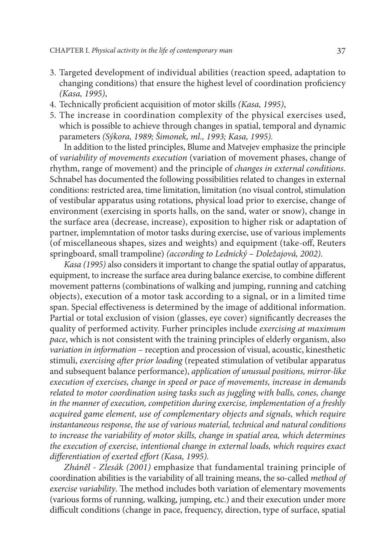- 3. Targeted development of individual abilities (reaction speed, adaptation to changing conditions) that ensure the highest level of coordination proficiency *(Kasa, 1995)*,
- 4. Technically proficient acquisition of motor skills *(Kasa, 1995)*,
- 5. The increase in coordination complexity of the physical exercises used, which is possible to achieve through changes in spatial, temporal and dynamic parameters *(Sýkora, 1989; Šimonek, ml., 1993; Kasa, 1995).*

In addition to the listed principles, Blume and Matvejev emphasize the principle of *variability of movements execution* (variation of movement phases, change of rhythm, range of movement) and the principle of *changes in external conditions*. Schnabel has documented the following possibilities related to changes in external conditions: restricted area, time limitation, limitation (no visual control, stimulation of vestibular apparatus using rotations, physical load prior to exercise, change of environment (exercising in sports halls, on the sand, water or snow), change in the surface area (decrease, increase), exposition to higher risk or adaptation of partner, implemntation of motor tasks during exercise, use of various implements (of miscellaneous shapes, sizes and weights) and equipment (take-off, Reuters springboard, small trampoline) *(according to Lednický – Doležajová, 2002)*.

*Kasa (1995)* also considers it important to change the spatial outlay of apparatus, equipment, to increase the surface area during balance exercise, to combine different movement patterns (combinations of walking and jumping, running and catching objects), execution of a motor task according to a signal, or in a limited time span. Special effectiveness is determined by the image of additional information. Partial or total exclusion of vision (glasses, eye cover) significantly decreases the quality of performed activity. Furher principles include *exercising at maximum pace*, which is not consistent with the training principles of elderly organism, also *variation in information* – reception and procession of visual, acoustic, kinesthetic stimuli, *exercising after prior loading* (repeated stimulation of vetibular apparatus and subsequent balance performance), *application of unusual positions, mirror-like execution of exercises, change in speed or pace of movements, increase in demands related to motor coordination using tasks such as juggling with balls, cones, change in the manner of execution, competition during exercise, implementation of a freshly acquired game element, use of complementary objects and signals, which require instantaneous response, the use of various material, technical and natural conditions to increase the variability of motor skills, change in spatial area, which determines the execution of exercise, intentional change in external loads, which requires exact differentiation of exerted effort (Kasa, 1995).* 

*Zháněl - Zlesák (2001)* emphasize that fundamental training principle of coordination abilities is the variability of all training means, the so-called *method of exercise variability*. The method includes both variation of elementary movements (various forms of running, walking, jumping, etc.) and their execution under more difficult conditions (change in pace, frequency, direction, type of surface, spatial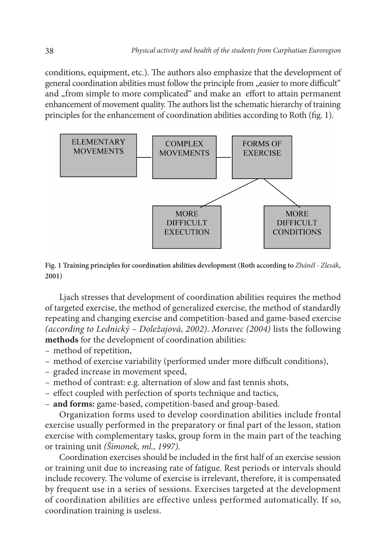conditions, equipment, etc.). The authors also emphasize that the development of general coordination abilities must follow the principle from "easier to more difficult" and "from simple to more complicated" and make an effort to attain permanent enhancement of movement quality. The authors list the schematic hierarchy of training principles for the enhancement of coordination abilities according to Roth (fig. 1).



**Fig. 1 Training principles for coordination abilities development (Roth according to** *Zháněl - Zlesák***, 2001)**

Ljach stresses that development of coordination abilities requires the method of targeted exercise, the method of generalized exercise, the method of standardly repeating and changing exercise and competition-based and game-based exercise *(according to Lednický – Doležajová, 2002)*. *Moravec (2004)* lists the following **methods** for the development of coordination abilities:

- method of repetition,
- method of exercise variability (performed under more difficult conditions),
- graded increase in movement speed,
- method of contrast: e.g. alternation of slow and fast tennis shots,
- effect coupled with perfection of sports technique and tactics,
- **and forms:** game-based, competition-based and group-based.

Organization forms used to develop coordination abilities include frontal exercise usually performed in the preparatory or final part of the lesson, station exercise with complementary tasks, group form in the main part of the teaching or training unit *(Šimonek, ml., 1997).*

Coordination exercises should be included in the first half of an exercise session or training unit due to increasing rate of fatigue. Rest periods or intervals should include recovery. The volume of exercise is irrelevant, therefore, it is compensated by frequent use in a series of sessions. Exercises targeted at the development of coordination abilities are effective unless performed automatically. If so, coordination training is useless.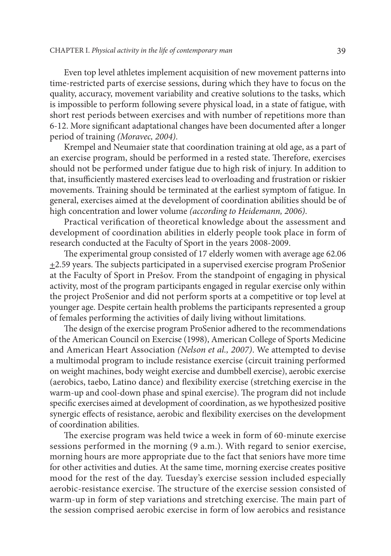Even top level athletes implement acquisition of new movement patterns into time-restricted parts of exercise sessions, during which they have to focus on the quality, accuracy, movement variability and creative solutions to the tasks, which is impossible to perform following severe physical load, in a state of fatigue, with short rest periods between exercises and with number of repetitions more than 6-12. More significant adaptational changes have been documented after a longer period of training *(Moravec, 2004)*.

Krempel and Neumaier state that coordination training at old age, as a part of an exercise program, should be performed in a rested state. Therefore, exercises should not be performed under fatigue due to high risk of injury. In addition to that, insufficiently mastered exercises lead to overloading and frustration or riskier movements. Training should be terminated at the earliest symptom of fatigue. In general, exercises aimed at the development of coordination abilities should be of high concentration and lower volume *(according to Heidemann, 2006)*.

Practical verification of theoretical knowledge about the assessment and development of coordination abilities in elderly people took place in form of research conducted at the Faculty of Sport in the years 2008-2009.

The experimental group consisted of 17 elderly women with average age 62.06 +2.59 years. The subjects participated in a supervised exercise program ProSenior at the Faculty of Sport in Prešov. From the standpoint of engaging in physical activity, most of the program participants engaged in regular exercise only within the project ProSenior and did not perform sports at a competitive or top level at younger age. Despite certain health problems the participants represented a group of females performing the activities of daily living without limitations.

The design of the exercise program ProSenior adhered to the recommendations of the American Council on Exercise (1998), American College of Sports Medicine and American Heart Association *(Nelson et al., 2007)*. We attempted to devise a multimodal program to include resistance exercise (circuit training performed on weight machines, body weight exercise and dumbbell exercise), aerobic exercise (aerobics, taebo, Latino dance) and flexibility exercise (stretching exercise in the warm-up and cool-down phase and spinal exercise). The program did not include specific exercises aimed at development of coordination, as we hypothesized positive synergic effects of resistance, aerobic and flexibility exercises on the development of coordination abilities.

The exercise program was held twice a week in form of 60-minute exercise sessions performed in the morning (9 a.m.). With regard to senior exercise, morning hours are more appropriate due to the fact that seniors have more time for other activities and duties. At the same time, morning exercise creates positive mood for the rest of the day. Tuesday's exercise session included especially aerobic-resistance exercise. The structure of the exercise session consisted of warm-up in form of step variations and stretching exercise. The main part of the session comprised aerobic exercise in form of low aerobics and resistance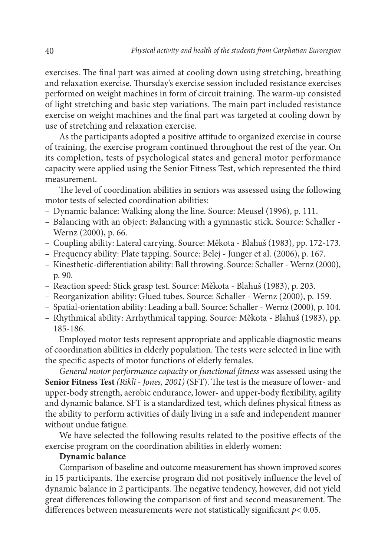exercises. The final part was aimed at cooling down using stretching, breathing and relaxation exercise. Thursday's exercise session included resistance exercises performed on weight machines in form of circuit training. The warm-up consisted of light stretching and basic step variations. The main part included resistance exercise on weight machines and the final part was targeted at cooling down by use of stretching and relaxation exercise.

As the participants adopted a positive attitude to organized exercise in course of training, the exercise program continued throughout the rest of the year. On its completion, tests of psychological states and general motor performance capacity were applied using the Senior Fitness Test, which represented the third measurement.

The level of coordination abilities in seniors was assessed using the following motor tests of selected coordination abilities:

- Dynamic balance: Walking along the line. Source: Meusel (1996), p. 111.
- Balancing with an object: Balancing with a gymnastic stick. Source: Schaller Wernz (2000), p. 66.
- Coupling ability: Lateral carrying. Source: Měkota Blahuš (1983), pp. 172-173.
- Frequency ability: Plate tapping. Source: Belej Junger et al. (2006), p. 167.
- Kinesthetic-differentiation ability: Ball throwing. Source: Schaller Wernz (2000), p. 90.
- Reaction speed: Stick grasp test. Source: Měkota Blahuš (1983), p. 203.
- Reorganization ability: Glued tubes. Source: Schaller Wernz (2000), p. 159.
- Spatial-orientation ability: Leading a ball. Source: Schaller Wernz (2000), p. 104.
- Rhythmical ability: Arrhythmical tapping. Source: Měkota Blahuš (1983), pp. 185-186.

Employed motor tests represent appropriate and applicable diagnostic means of coordination abilities in elderly population. The tests were selected in line with the specific aspects of motor functions of elderly females.

*General motor performance capacity* or *functional fitness* was assessed using the **Senior Fitness Test** *(Rikli - Jones, 2001)* (SFT). The test is the measure of lower- and upper-body strength, aerobic endurance, lower- and upper-body flexibility, agility and dynamic balance. SFT is a standardized test, which defines physical fitness as the ability to perform activities of daily living in a safe and independent manner without undue fatigue.

We have selected the following results related to the positive effects of the exercise program on the coordination abilities in elderly women:

#### **Dynamic balance**

Comparison of baseline and outcome measurement has shown improved scores in 15 participants. The exercise program did not positively influence the level of dynamic balance in 2 participants. The negative tendency, however, did not yield great differences following the comparison of first and second measurement. The differences between measurements were not statistically significant *p*< 0.05.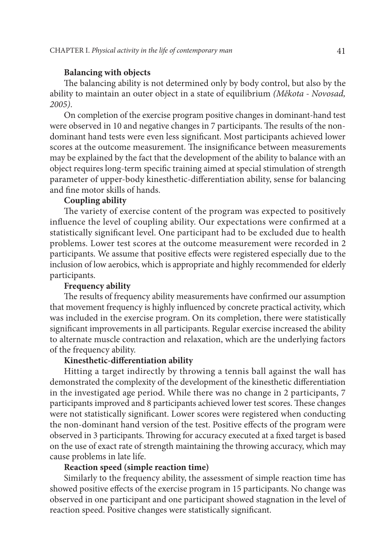## **Balancing with objects**

The balancing ability is not determined only by body control, but also by the ability to maintain an outer object in a state of equilibrium *(Měkota - Novosad, 2005)*.

On completion of the exercise program positive changes in dominant-hand test were observed in 10 and negative changes in 7 participants. The results of the nondominant hand tests were even less significant. Most participants achieved lower scores at the outcome measurement. The insignificance between measurements may be explained by the fact that the development of the ability to balance with an object requires long-term specific training aimed at special stimulation of strength parameter of upper-body kinesthetic-differentiation ability, sense for balancing and fine motor skills of hands.

# **Coupling ability**

The variety of exercise content of the program was expected to positively influence the level of coupling ability. Our expectations were confirmed at a statistically significant level. One participant had to be excluded due to health problems. Lower test scores at the outcome measurement were recorded in 2 participants. We assume that positive effects were registered especially due to the inclusion of low aerobics, which is appropriate and highly recommended for elderly participants.

# **Frequency ability**

The results of frequency ability measurements have confirmed our assumption that movement frequency is highly influenced by concrete practical activity, which was included in the exercise program. On its completion, there were statistically significant improvements in all participants. Regular exercise increased the ability to alternate muscle contraction and relaxation, which are the underlying factors of the frequency ability.

#### **Kinesthetic-differentiation ability**

Hitting a target indirectly by throwing a tennis ball against the wall has demonstrated the complexity of the development of the kinesthetic differentiation in the investigated age period. While there was no change in 2 participants, 7 participants improved and 8 participants achieved lower test scores. These changes were not statistically significant. Lower scores were registered when conducting the non-dominant hand version of the test. Positive effects of the program were observed in 3 participants. Throwing for accuracy executed at a fixed target is based on the use of exact rate of strength maintaining the throwing accuracy, which may cause problems in late life.

## **Reaction speed (simple reaction time)**

Similarly to the frequency ability, the assessment of simple reaction time has showed positive effects of the exercise program in 15 participants. No change was observed in one participant and one participant showed stagnation in the level of reaction speed. Positive changes were statistically significant.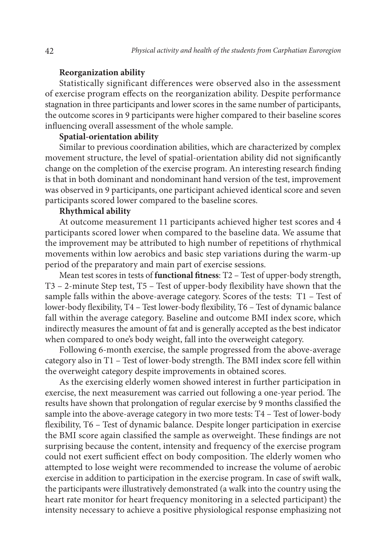#### **Reorganization ability**

Statistically significant differences were observed also in the assessment of exercise program effects on the reorganization ability. Despite performance stagnation in three participants and lower scores in the same number of participants, the outcome scores in 9 participants were higher compared to their baseline scores influencing overall assessment of the whole sample.

# **Spatial-orientation ability**

Similar to previous coordination abilities, which are characterized by complex movement structure, the level of spatial-orientation ability did not significantly change on the completion of the exercise program. An interesting research finding is that in both dominant and nondominant hand version of the test, improvement was observed in 9 participants, one participant achieved identical score and seven participants scored lower compared to the baseline scores.

#### **Rhythmical ability**

At outcome measurement 11 participants achieved higher test scores and 4 participants scored lower when compared to the baseline data. We assume that the improvement may be attributed to high number of repetitions of rhythmical movements within low aerobics and basic step variations during the warm-up period of the preparatory and main part of exercise sessions.

Mean test scores in tests of **functional fitness**: T2 – Test of upper-body strength, T3 – 2-minute Step test, T5 – Test of upper-body flexibility have shown that the sample falls within the above-average category. Scores of the tests: T1 – Test of lower-body flexibility, T4 – Test lower-body flexibility, T6 – Test of dynamic balance fall within the average category. Baseline and outcome BMI index score, which indirectly measures the amount of fat and is generally accepted as the best indicator when compared to one's body weight, fall into the overweight category.

Following 6-month exercise, the sample progressed from the above-average category also in T1 – Test of lower-body strength. The BMI index score fell within the overweight category despite improvements in obtained scores.

As the exercising elderly women showed interest in further participation in exercise, the next measurement was carried out following a one-year period. The results have shown that prolongation of regular exercise by 9 months classified the sample into the above-average category in two more tests: T4 – Test of lower-body flexibility, T6 – Test of dynamic balance. Despite longer participation in exercise the BMI score again classified the sample as overweight. These findings are not surprising because the content, intensity and frequency of the exercise program could not exert sufficient effect on body composition. The elderly women who attempted to lose weight were recommended to increase the volume of aerobic exercise in addition to participation in the exercise program. In case of swift walk, the participants were illustratively demonstrated (a walk into the country using the heart rate monitor for heart frequency monitoring in a selected participant) the intensity necessary to achieve a positive physiological response emphasizing not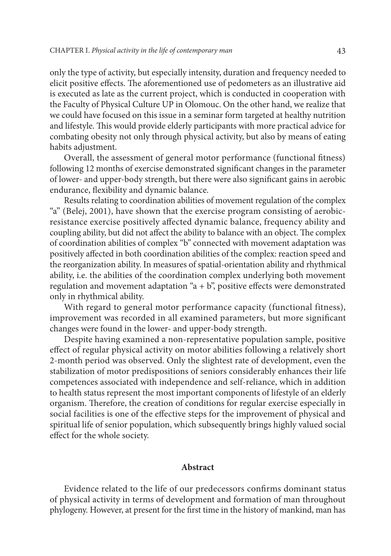only the type of activity, but especially intensity, duration and frequency needed to elicit positive effects. The aforementioned use of pedometers as an illustrative aid is executed as late as the current project, which is conducted in cooperation with the Faculty of Physical Culture UP in Olomouc. On the other hand, we realize that we could have focused on this issue in a seminar form targeted at healthy nutrition and lifestyle. This would provide elderly participants with more practical advice for combating obesity not only through physical activity, but also by means of eating habits adjustment.

Overall, the assessment of general motor performance (functional fitness) following 12 months of exercise demonstrated significant changes in the parameter of lower- and upper-body strength, but there were also significant gains in aerobic endurance, flexibility and dynamic balance.

Results relating to coordination abilities of movement regulation of the complex "a" (Belej, 2001), have shown that the exercise program consisting of aerobicresistance exercise positively affected dynamic balance, frequency ability and coupling ability, but did not affect the ability to balance with an object. The complex of coordination abilities of complex "b" connected with movement adaptation was positively affected in both coordination abilities of the complex: reaction speed and the reorganization ability. In measures of spatial-orientation ability and rhythmical ability, i.e. the abilities of the coordination complex underlying both movement regulation and movement adaptation " $a + b$ ", positive effects were demonstrated only in rhythmical ability.

With regard to general motor performance capacity (functional fitness), improvement was recorded in all examined parameters, but more significant changes were found in the lower- and upper-body strength.

Despite having examined a non-representative population sample, positive effect of regular physical activity on motor abilities following a relatively short 2-month period was observed. Only the slightest rate of development, even the stabilization of motor predispositions of seniors considerably enhances their life competences associated with independence and self-reliance, which in addition to health status represent the most important components of lifestyle of an elderly organism. Therefore, the creation of conditions for regular exercise especially in social facilities is one of the effective steps for the improvement of physical and spiritual life of senior population, which subsequently brings highly valued social effect for the whole society.

#### **Abstract**

Evidence related to the life of our predecessors confirms dominant status of physical activity in terms of development and formation of man throughout phylogeny. However, at present for the first time in the history of mankind, man has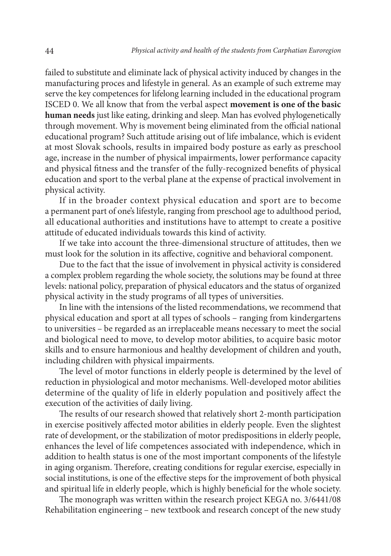failed to substitute and eliminate lack of physical activity induced by changes in the manufacturing proces and lifestyle in general. As an example of such extreme may serve the key competences for lifelong learning included in the educational program ISCED 0. We all know that from the verbal aspect **movement is one of the basic human needs** just like eating, drinking and sleep. Man has evolved phylogenetically through movement. Why is movement being eliminated from the official national educational program? Such attitude arising out of life imbalance, which is evident at most Slovak schools, results in impaired body posture as early as preschool age, increase in the number of physical impairments, lower performance capacity and physical fitness and the transfer of the fully-recognized benefits of physical education and sport to the verbal plane at the expense of practical involvement in physical activity.

If in the broader context physical education and sport are to become a permanent part of one's lifestyle, ranging from preschool age to adulthood period, all educational authorities and institutions have to attempt to create a positive attitude of educated individuals towards this kind of activity.

If we take into account the three-dimensional structure of attitudes, then we must look for the solution in its affective, cognitive and behavioral component.

Due to the fact that the issue of involvement in physical activity is considered a complex problem regarding the whole society, the solutions may be found at three levels: national policy, preparation of physical educators and the status of organized physical activity in the study programs of all types of universities.

In line with the intensions of the listed recommendations, we recommend that physical education and sport at all types of schools – ranging from kindergartens to universities – be regarded as an irreplaceable means necessary to meet the social and biological need to move, to develop motor abilities, to acquire basic motor skills and to ensure harmonious and healthy development of children and youth, including children with physical impairments.

The level of motor functions in elderly people is determined by the level of reduction in physiological and motor mechanisms. Well-developed motor abilities determine of the quality of life in elderly population and positively affect the execution of the activities of daily living.

The results of our research showed that relatively short 2-month participation in exercise positively affected motor abilities in elderly people. Even the slightest rate of development, or the stabilization of motor predispositions in elderly people, enhances the level of life competences associated with independence, which in addition to health status is one of the most important components of the lifestyle in aging organism. Therefore, creating conditions for regular exercise, especially in social institutions, is one of the effective steps for the improvement of both physical and spiritual life in elderly people, which is highly beneficial for the whole society.

The monograph was written within the research project KEGA no. 3/6441/08 Rehabilitation engineering – new textbook and research concept of the new study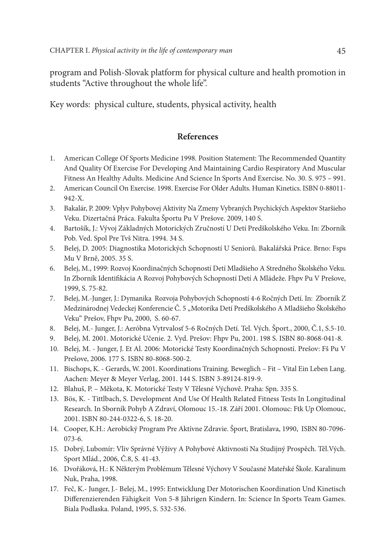program and Polish-Slovak platform for physical culture and health promotion in students "Active throughout the whole life".

Key words: physical culture, students, physical activity, health

# **References**

- 1. American College Of Sports Medicine 1998. Position Statement: The Recommended Quantity And Quality Of Exercise For Developing And Maintaining Cardio Respiratory And Muscular Fitness An Healthy Adults. Medicine And Science In Sports And Exercise. No. 30. S. 975 – 991.
- 2. American Council On Exercise. 1998. Exercise For Older Adults. Human Kinetics. ISBN 0-88011- 942-X.
- 3. Bakalár, P. 2009: Vplyv Pohybovej Aktivity Na Zmeny Vybraných Psychických Aspektov Staršieho Veku. Dizertačná Práca. Fakulta Športu Pu V Prešove. 2009, 140 S.
- 4. Bartošík, J.: Vývoj Základných Motorických Zručností U Detí Predškolského Veku. In: Zborník Pob. Ved. Spol Pre Tvš Nitra. 1994. 34 S.
- 5. Belej, D. 2005: Diagnostika Motorických Schopností U Seniorů. Bakalářská Práce. Brno: Fsps Mu V Brně, 2005. 35 S.
- 6. Belej, M., 1999: Rozvoj Koordinačných Schopností Detí Mladšieho A Stredného Školského Veku. In Zborník Identifikácia A Rozvoj Pohybových Schopností Detí A Mládeže. Fhpv Pu V Prešove, 1999, S. 75-82.
- 7. Belej, M.-Junger, J.: Dymanika Rozvoja Pohybových Schopností 4-6 Ročných Detí. In: Zborník Z Medzinárodnej Vedeckej Konferencie Č. 5 "Motorika Detí Predškolského A Mladšieho Školského Veku" Prešov, Fhpv Pu, 2000, S. 60-67.
- 8. Belej, M.- Junger, J.: Aeróbna Vytrvalosť 5-6 Ročných Detí. Tel. Vých. Šport., 2000, Č.1, S.5-10.
- 9. Belej, M. 2001. Motorické Učenie. 2. Vyd. Prešov: Fhpv Pu, 2001. 198 S. ISBN 80-8068-041-8.
- 10. Belej, M. Junger, J. Et Al. 2006: Motorické Testy Koordinačných Schopností. Prešov: Fš Pu V Prešove, 2006. 177 S. ISBN 80-8068-500-2.
- 11. Bischops, K. Gerards, W. 2001. Koordinations Training. Beweglich Fit Vital Ein Leben Lang. Aachen: Meyer & Meyer Verlag, 2001. 144 S. ISBN 3-89124-819-9.
- 12. Blahuš, P. Měkota, K. Motorické Testy V Tělesné Výchově. Praha: Spn. 335 S.
- 13. Bös, K. Tittlbach, S. Development And Use Of Health Related Fitness Tests In Longitudinal Research. In Sborník Pohyb A Zdraví, Olomouc 15.-18. Září 2001. Olomouc: Ftk Up Olomouc, 2001. ISBN 80-244-0322-6, S. 18-20.
- 14. Cooper, K.H.: Aerobický Program Pre Aktívne Zdravie. Šport, Bratislava, 1990, ISBN 80-7096- 073-6.
- 15. Dobrý, Lubomír: Vliv Správné Výživy A Pohybové Aktivnosti Na Studijný Prospěch. Těl.Vých. Sport Mlád., 2006, Č.8, S. 41-43.
- 16. Dvořáková, H.: K Některým Problémum Tělesné Výchovy V Současné Mateřské Škole. Karalinum Nuk, Praha, 1998.
- 17. Feč, K.- Junger, J.- Belej, M., 1995: Entwicklung Der Motorischen Koordination Und Kinetisch Differenzierenden Fähigkeit Von 5-8 Jährigen Kindern. In: Science In Sports Team Games. Biala Podlaska. Poland, 1995, S. 532-536.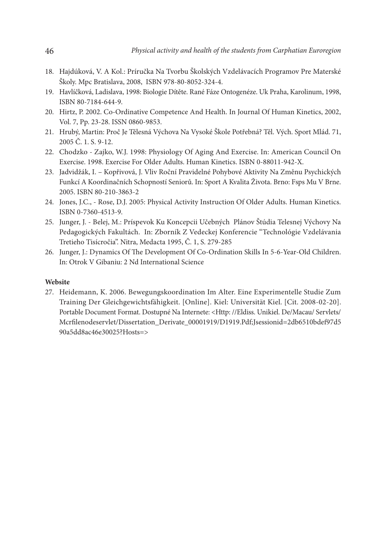- 18. Hajdúková, V. A Kol.: Príručka Na Tvorbu Školských Vzdelávacích Programov Pre Materské Školy. Mpc Bratislava, 2008, ISBN 978-80-8052-324-4.
- 19. Havlíčková, Ladislava, 1998: Biologie Dítěte. Rané Fáze Ontogenéze. Uk Praha, Karolinum, 1998, ISBN 80-7184-644-9.
- 20. Hirtz, P. 2002. Co-Ordinative Competence And Health. In Journal Of Human Kinetics, 2002, Vol. 7, Pp. 23-28. ISSN 0860-9853.
- 21. Hrubý, Martin: Proč Je Tělesná Výchova Na Vysoké Škole Potřebná? Těl. Vých. Sport Mlád. 71, 2005 Č. 1. S. 9-12.
- 22. Chodzko Zajko, W.J. 1998: Physiology Of Aging And Exercise. In: American Council On Exercise. 1998. Exercise For Older Adults. Human Kinetics. ISBN 0-88011-942-X.
- 23. Jadvidžák, I. Kopřivová, J. Vliv Roční Pravidelné Pohybové Aktivity Na Změnu Psychických Funkcí A Koordinačních Schopností Seniorů. In: Sport A Kvalita Života. Brno: Fsps Mu V Brne. 2005. ISBN 80-210-3863-2
- 24. Jones, J.C., Rose, D.J. 2005: Physical Activity Instruction Of Older Adults. Human Kinetics. ISBN 0-7360-4513-9.
- 25. Junger, J. Belej, M.: Príspevok Ku Koncepcii Učebných Plánov Štúdia Telesnej Výchovy Na Pedagogických Fakultách. In: Zborník Z Vedeckej Konferencie "Technológie Vzdelávania Tretieho Tisícročia". Nitra, Medacta 1995, Č. 1, S. 279-285
- 26. Junger, J.: Dynamics Of The Development Of Co-Ordination Skills In 5-6-Year-Old Children. In: Otrok V Gibaniu: 2 Nd International Science

#### **Website**

27. Heidemann, K. 2006. Bewegungskoordination Im Alter. Eine Experimentelle Studie Zum Training Der Gleichgewichtsfähigkeit. [Online]. Kiel: Universität Kiel. [Cit. 2008-02-20]. Portable Document Format. Dostupné Na Internete: <Http: //Eldiss. Unikiel. De/Macau/ Servlets/ Mcrfilenodeservlet/Dissertation\_Derivate\_00001919/D1919.Pdf;Jsessionid=2db6510bdef97d5 90a5dd8ac46e30025?Hosts=>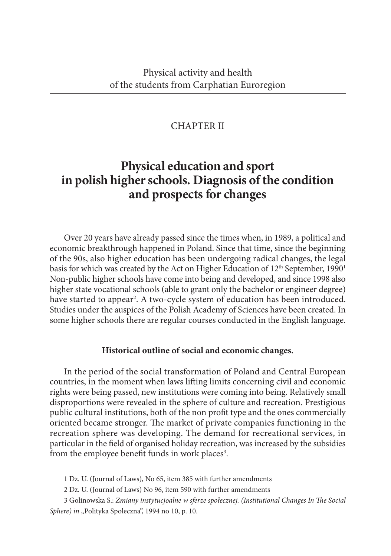# CHAPTER II

# **Physical education and sport in polish higher schools. Diagnosis of the condition and prospects for changes**

Over 20 years have already passed since the times when, in 1989, a political and economic breakthrough happened in Poland. Since that time, since the beginning of the 90s, also higher education has been undergoing radical changes, the legal basis for which was created by the Act on Higher Education of 12<sup>th</sup> September, 1990<sup>1</sup> Non-public higher schools have come into being and developed, and since 1998 also higher state vocational schools (able to grant only the bachelor or engineer degree) have started to appear<sup>2</sup>. A two-cycle system of education has been introduced. Studies under the auspices of the Polish Academy of Sciences have been created. In some higher schools there are regular courses conducted in the English language.

# **Historical outline of social and economic changes.**

In the period of the social transformation of Poland and Central European countries, in the moment when laws lifting limits concerning civil and economic rights were being passed, new institutions were coming into being. Relatively small disproportions were revealed in the sphere of culture and recreation. Prestigious public cultural institutions, both of the non profit type and the ones commercially oriented became stronger. The market of private companies functioning in the recreation sphere was developing. The demand for recreational services, in particular in the field of organised holiday recreation, was increased by the subsidies from the employee benefit funds in work places<sup>3</sup>.

<sup>1</sup> Dz. U. (Journal of Laws), No 65, item 385 with further amendments

<sup>2</sup> Dz. U. (Journal of Laws) No 96, item 590 with further amendments

<sup>3</sup> Golinowska S.: *Zmiany instytucjoalne w sferze społecznej. (Institutional Changes In The Social Sphere) in* "Polityka Spoleczna", 1994 no 10, p. 10.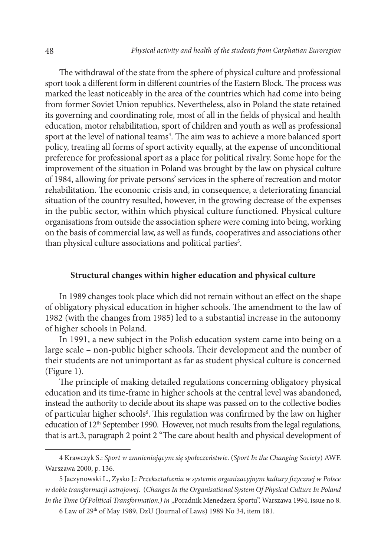The withdrawal of the state from the sphere of physical culture and professional sport took a different form in different countries of the Eastern Block. The process was marked the least noticeably in the area of the countries which had come into being from former Soviet Union republics. Nevertheless, also in Poland the state retained its governing and coordinating role, most of all in the fields of physical and health education, motor rehabilitation, sport of children and youth as well as professional sport at the level of national teams<sup>4</sup>. The aim was to achieve a more balanced sport policy, treating all forms of sport activity equally, at the expense of unconditional preference for professional sport as a place for political rivalry. Some hope for the improvement of the situation in Poland was brought by the law on physical culture of 1984, allowing for private persons' services in the sphere of recreation and motor rehabilitation. The economic crisis and, in consequence, a deteriorating financial situation of the country resulted, however, in the growing decrease of the expenses in the public sector, within which physical culture functioned. Physical culture organisations from outside the association sphere were coming into being, working on the basis of commercial law, as well as funds, cooperatives and associations other than physical culture associations and political parties<sup>5</sup>.

# **Structural changes within higher education and physical culture**

In 1989 changes took place which did not remain without an effect on the shape of obligatory physical education in higher schools. The amendment to the law of 1982 (with the changes from 1985) led to a substantial increase in the autonomy of higher schools in Poland.

In 1991, a new subject in the Polish education system came into being on a large scale – non-public higher schools. Their development and the number of their students are not unimportant as far as student physical culture is concerned (Figure 1).

The principle of making detailed regulations concerning obligatory physical education and its time-frame in higher schools at the central level was abandoned, instead the authority to decide about its shape was passed on to the collective bodies of particular higher schools<sup>6</sup>. This regulation was confirmed by the law on higher education of  $12<sup>th</sup>$  September 1990. However, not much results from the legal regulations, that is art.3, paragraph 2 point 2 "The care about health and physical development of

<sup>4</sup> Krawczyk S.: *Sport w zmnieniającym się społeczeństwie*. (*Sport In the Changing Society*) AWF. Warszawa 2000, p. 136.

<sup>5</sup> Jaczynowski L., Zysko J.: *Przekształcenia w systemie organizacyjnym kultury fizycznej w Polsce w dobie transformacji ustrojowej*. (*Changes In the Organisational System Of Physical Culture In Poland*  In the Time Of Political Transformation.) in "Poradnik Menedzera Sportu". Warszawa 1994, issue no 8.

<sup>6</sup> Law of 29th of May 1989, DzU (Journal of Laws) 1989 No 34, item 181.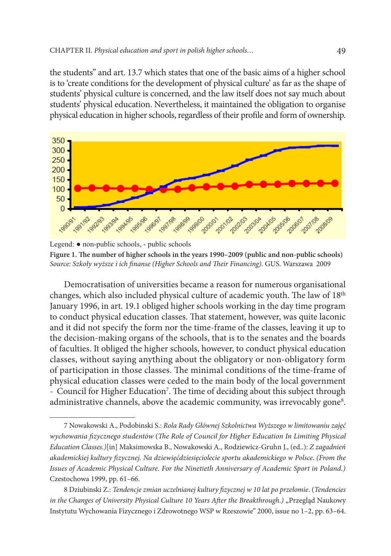the students" and art. 13.7 which states that one of the basic aims of a higher school is to 'create conditions for the development of physical culture' as far as the shape of students' physical culture is concerned, and the law itself does not say much about students' physical education. Nevertheless, it maintained the obligation to organise physical education in higher schools, regardless of their profile and form of ownership.



Legend: ● non-public schools, - public schools **Figure 1. The number of higher schools in the years 1990–2009 (public and non-public schools)** *Source: Szkoły wyższe i ich finanse (Higher Schools and Their Financing).* GUS. Warszawa 2009

Democratisation of universities became a reason for numerous organisational changes, which also included physical culture of academic youth. The law of 18th January 1996, in art. 19.1 obliged higher schools working in the day time program to conduct physical education classes. That statement, however, was quite laconic and it did not specify the form nor the time-frame of the classes, leaving it up to the decision-making organs of the schools, that is to the senates and the boards of faculties. It obliged the higher schools, however, to conduct physical education classes, without saying anything about the obligatory or non-obligatory form of participation in those classes. The minimal conditions of the time-frame of physical education classes were ceded to the main body of the local government - Council for Higher Education<sup>7</sup>. The time of deciding about this subject through administrative channels, above the academic community, was irrevocably gone<sup>8</sup>.

<sup>7</sup> Nowakowski A., Podobinski S.: *Rola Rady Głównej Szkolnictwa Wyższego w limitowaniu zajęć wychowania fizycznego studentów* (*The Role of Council for Higher Education In Limiting Physical Education Classes.)*[in] Maksimowska B., Nowakowski A., Rodziewicz-Gruhn J., (ed..): *Z zagadnień akademickiej kultury fizycznej. Na dziewięćdziesięciolecie sportu akademickiego w Polsce*. *(From the Issues of Academic Physical Culture. For the Ninetieth Anniversary of Academic Sport in Poland.)*  Czestochowa 1999, pp. 61–66.

<sup>8</sup> Dziubinski Z.: *Tendencje zmian uczelnianej kultury fizycznej w 10 lat po przełomie*. (*Tendencies in the Changes of University Physical Culture 10 Years After the Breakthrough.)* "Przegląd Naukowy Instytutu Wychowania Fizycznego i Zdrowotnego WSP w Rzeszowie" 2000, issue no 1–2, pp. 63–64.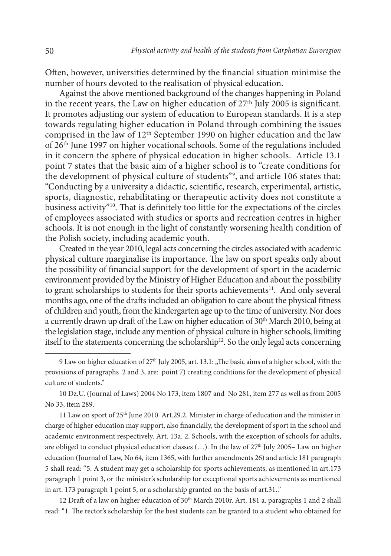Often, however, universities determined by the financial situation minimise the number of hours devoted to the realisation of physical education.

Against the above mentioned background of the changes happening in Poland in the recent years, the Law on higher education of  $27<sup>th</sup>$  July 2005 is significant. It promotes adjusting our system of education to European standards. It is a step towards regulating higher education in Poland through combining the issues comprised in the law of 12th September 1990 on higher education and the law of 26th June 1997 on higher vocational schools. Some of the regulations included in it concern the sphere of physical education in higher schools. Article 13.1 point 7 states that the basic aim of a higher school is to "create conditions for the development of physical culture of students"9 , and article 106 states that: "Conducting by a university a didactic, scientific, research, experimental, artistic, sports, diagnostic, rehabilitating or therapeutic activity does not constitute a business activity"10. That is definitely too little for the expectations of the circles of employees associated with studies or sports and recreation centres in higher schools. It is not enough in the light of constantly worsening health condition of the Polish society, including academic youth.

Created in the year 2010, legal acts concerning the circles associated with academic physical culture marginalise its importance. The law on sport speaks only about the possibility of financial support for the development of sport in the academic environment provided by the Ministry of Higher Education and about the possibility to grant scholarships to students for their sports achievements<sup>11</sup>. And only several months ago, one of the drafts included an obligation to care about the physical fitness of children and youth, from the kindergarten age up to the time of university. Nor does a currently drawn up draft of the Law on higher education of  $30<sup>th</sup>$  March 2010, being at the legislation stage, include any mention of physical culture in higher schools, limiting itself to the statements concerning the scholarship<sup>12</sup>. So the only legal acts concerning

10 Dz.U. (Journal of Laws) 2004 No 173, item 1807 and No 281, item 277 as well as from 2005 No 33, item 289.

11 Law on sport of  $25<sup>th</sup>$  June 2010. Art.29.2. Minister in charge of education and the minister in charge of higher education may support, also financially, the development of sport in the school and academic environment respectively. Art. 13a. 2. Schools, with the exception of schools for adults, are obliged to conduct physical education classes (...). In the law of 27<sup>th</sup> July 2005– Law on higher education (Journal of Law, No 64, item 1365, with further amendments 26) and article 181 paragraph 5 shall read: "5. A student may get a scholarship for sports achievements, as mentioned in art.173 paragraph 1 point 3, or the minister's scholarship for exceptional sports achievements as mentioned in art. 173 paragraph 1 point 5, or a scholarship granted on the basis of art.31.."

12 Draft of a law on higher education of 30<sup>th</sup> March 2010r. Art. 181 a. paragraphs 1 and 2 shall read: "1. The rector's scholarship for the best students can be granted to a student who obtained for

<sup>9</sup> Law on higher education of 27<sup>th</sup> July 2005, art. 13.1: "The basic aims of a higher school, with the provisions of paragraphs 2 and 3, are: point 7) creating conditions for the development of physical culture of students."